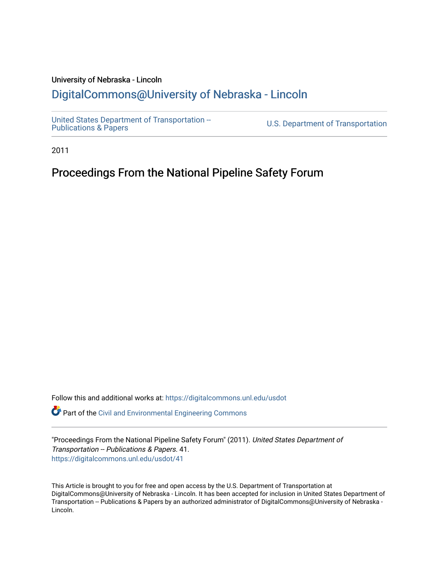## University of Nebraska - Lincoln [DigitalCommons@University of Nebraska - Lincoln](https://digitalcommons.unl.edu/)

[United States Department of Transportation --](https://digitalcommons.unl.edu/usdot)<br>Publications & Papers

U.S. Department of Transportation

2011

# Proceedings From the National Pipeline Safety Forum

Follow this and additional works at: [https://digitalcommons.unl.edu/usdot](https://digitalcommons.unl.edu/usdot?utm_source=digitalcommons.unl.edu%2Fusdot%2F41&utm_medium=PDF&utm_campaign=PDFCoverPages) 

Part of the [Civil and Environmental Engineering Commons](http://network.bepress.com/hgg/discipline/251?utm_source=digitalcommons.unl.edu%2Fusdot%2F41&utm_medium=PDF&utm_campaign=PDFCoverPages)

"Proceedings From the National Pipeline Safety Forum" (2011). United States Department of Transportation -- Publications & Papers. 41. [https://digitalcommons.unl.edu/usdot/41](https://digitalcommons.unl.edu/usdot/41?utm_source=digitalcommons.unl.edu%2Fusdot%2F41&utm_medium=PDF&utm_campaign=PDFCoverPages)

This Article is brought to you for free and open access by the U.S. Department of Transportation at DigitalCommons@University of Nebraska - Lincoln. It has been accepted for inclusion in United States Department of Transportation -- Publications & Papers by an authorized administrator of DigitalCommons@University of Nebraska - Lincoln.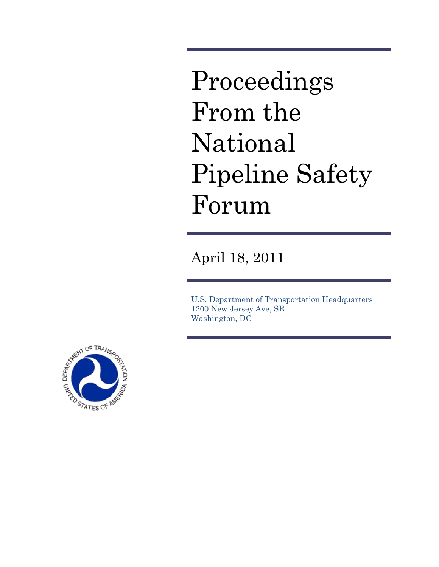Proceedings From the National Pipeline Safety Forum

April 18, 2011

U.S. Department of Transportation Headquarters 1200 New Jersey Ave, SE Washington, DC

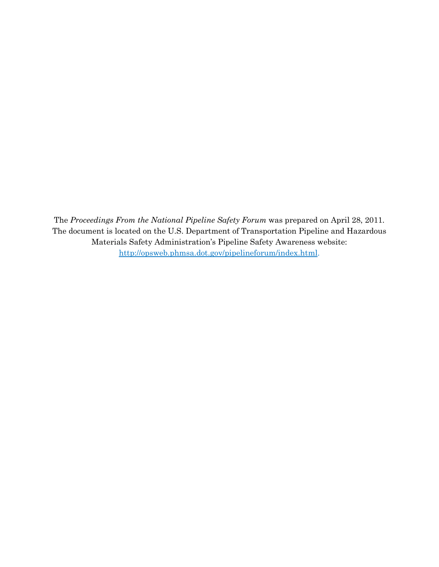The *Proceedings From the National Pipeline Safety Forum* was prepared on April 28, 2011. The document is located on the U.S. Department of Transportation Pipeline and Hazardous Materials Safety Administration's Pipeline Safety Awareness website: [http://opsweb.phmsa.dot.gov/pipelineforum/index.html.](http://opsweb.phmsa.dot.gov/pipelineforum/index.html)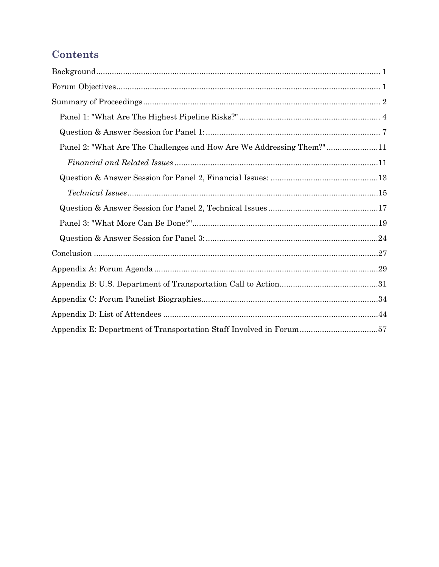# **Contents**

| Panel 2: "What Are The Challenges and How Are We Addressing Them?"11 |  |
|----------------------------------------------------------------------|--|
|                                                                      |  |
|                                                                      |  |
|                                                                      |  |
|                                                                      |  |
|                                                                      |  |
|                                                                      |  |
|                                                                      |  |
|                                                                      |  |
|                                                                      |  |
|                                                                      |  |
|                                                                      |  |
| Appendix E: Department of Transportation Staff Involved in Forum57   |  |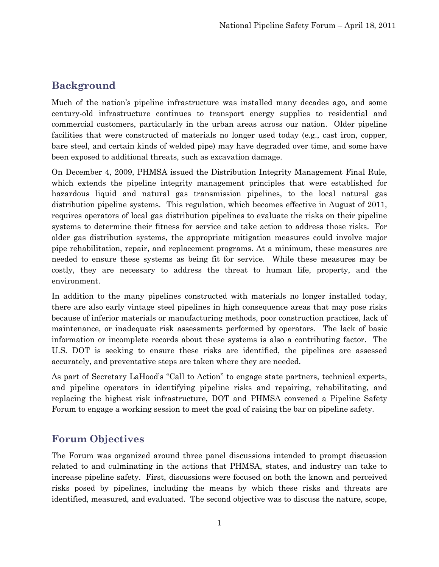# <span id="page-4-0"></span>**Background**

Much of the nation's pipeline infrastructure was installed many decades ago, and some century-old infrastructure continues to transport energy supplies to residential and commercial customers, particularly in the urban areas across our nation. Older pipeline facilities that were constructed of materials no longer used today (e.g., cast iron, copper, bare steel, and certain kinds of welded pipe) may have degraded over time, and some have been exposed to additional threats, such as excavation damage.

On December 4, 2009, PHMSA issued the Distribution Integrity Management Final Rule, which extends the pipeline integrity management principles that were established for hazardous liquid and natural gas transmission pipelines, to the local natural gas distribution pipeline systems. This regulation, which becomes effective in August of 2011, requires operators of local gas distribution pipelines to evaluate the risks on their pipeline systems to determine their fitness for service and take action to address those risks. For older gas distribution systems, the appropriate mitigation measures could involve major pipe rehabilitation, repair, and replacement programs. At a minimum, these measures are needed to ensure these systems as being fit for service. While these measures may be costly, they are necessary to address the threat to human life, property, and the environment.

In addition to the many pipelines constructed with materials no longer installed today, there are also early vintage steel pipelines in high consequence areas that may pose risks because of inferior materials or manufacturing methods, poor construction practices, lack of maintenance, or inadequate risk assessments performed by operators. The lack of basic information or incomplete records about these systems is also a contributing factor. The U.S. DOT is seeking to ensure these risks are identified, the pipelines are assessed accurately, and preventative steps are taken where they are needed.

As part of Secretary LaHood's "Call to Action" to engage state partners, technical experts, and pipeline operators in identifying pipeline risks and repairing, rehabilitating, and replacing the highest risk infrastructure, DOT and PHMSA convened a Pipeline Safety Forum to engage a working session to meet the goal of raising the bar on pipeline safety.

## <span id="page-4-1"></span>**Forum Objectives**

The Forum was organized around three panel discussions intended to prompt discussion related to and culminating in the actions that PHMSA, states, and industry can take to increase pipeline safety. First, discussions were focused on both the known and perceived risks posed by pipelines, including the means by which these risks and threats are identified, measured, and evaluated. The second objective was to discuss the nature, scope,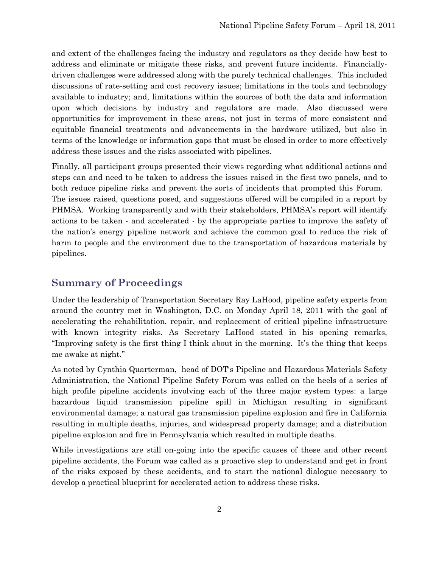and extent of the challenges facing the industry and regulators as they decide how best to address and eliminate or mitigate these risks, and prevent future incidents. Financiallydriven challenges were addressed along with the purely technical challenges. This included discussions of rate-setting and cost recovery issues; limitations in the tools and technology available to industry; and, limitations within the sources of both the data and information upon which decisions by industry and regulators are made. Also discussed were opportunities for improvement in these areas, not just in terms of more consistent and equitable financial treatments and advancements in the hardware utilized, but also in terms of the knowledge or information gaps that must be closed in order to more effectively address these issues and the risks associated with pipelines.

Finally, all participant groups presented their views regarding what additional actions and steps can and need to be taken to address the issues raised in the first two panels, and to both reduce pipeline risks and prevent the sorts of incidents that prompted this Forum. The issues raised, questions posed, and suggestions offered will be compiled in a report by PHMSA. Working transparently and with their stakeholders, PHMSA's report will identify actions to be taken - and accelerated - by the appropriate parties to improve the safety of the nation's energy pipeline network and achieve the common goal to reduce the risk of harm to people and the environment due to the transportation of hazardous materials by pipelines.

### <span id="page-5-0"></span>**Summary of Proceedings**

Under the leadership of Transportation Secretary Ray LaHood, pipeline safety experts from around the country met in Washington, D.C. on Monday April 18, 2011 with the goal of accelerating the rehabilitation, repair, and replacement of critical pipeline infrastructure with known integrity risks. As Secretary LaHood stated in his opening remarks, "Improving safety is the first thing I think about in the morning. It's the thing that keeps me awake at night."

As noted by Cynthia Quarterman, head of DOT's Pipeline and Hazardous Materials Safety Administration, the National Pipeline Safety Forum was called on the heels of a series of high profile pipeline accidents involving each of the three major system types: a large hazardous liquid transmission pipeline spill in Michigan resulting in significant environmental damage; a natural gas transmission pipeline explosion and fire in California resulting in multiple deaths, injuries, and widespread property damage; and a distribution pipeline explosion and fire in Pennsylvania which resulted in multiple deaths.

While investigations are still on-going into the specific causes of these and other recent pipeline accidents, the Forum was called as a proactive step to understand and get in front of the risks exposed by these accidents, and to start the national dialogue necessary to develop a practical blueprint for accelerated action to address these risks.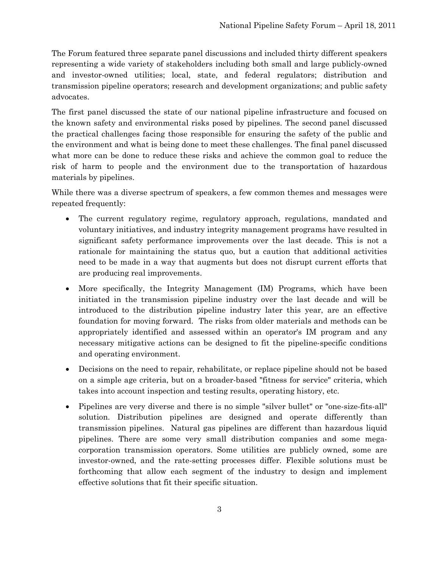The Forum featured three separate panel discussions and included thirty different speakers representing a wide variety of stakeholders including both small and large publicly-owned and investor-owned utilities; local, state, and federal regulators; distribution and transmission pipeline operators; research and development organizations; and public safety advocates.

The first panel discussed the state of our national pipeline infrastructure and focused on the known safety and environmental risks posed by pipelines. The second panel discussed the practical challenges facing those responsible for ensuring the safety of the public and the environment and what is being done to meet these challenges. The final panel discussed what more can be done to reduce these risks and achieve the common goal to reduce the risk of harm to people and the environment due to the transportation of hazardous materials by pipelines.

While there was a diverse spectrum of speakers, a few common themes and messages were repeated frequently:

- The current regulatory regime, regulatory approach, regulations, mandated and voluntary initiatives, and industry integrity management programs have resulted in significant safety performance improvements over the last decade. This is not a rationale for maintaining the status quo, but a caution that additional activities need to be made in a way that augments but does not disrupt current efforts that are producing real improvements.
- More specifically, the Integrity Management (IM) Programs, which have been initiated in the transmission pipeline industry over the last decade and will be introduced to the distribution pipeline industry later this year, are an effective foundation for moving forward. The risks from older materials and methods can be appropriately identified and assessed within an operator's IM program and any necessary mitigative actions can be designed to fit the pipeline-specific conditions and operating environment.
- Decisions on the need to repair, rehabilitate, or replace pipeline should not be based on a simple age criteria, but on a broader-based "fitness for service" criteria, which takes into account inspection and testing results, operating history, etc.
- Pipelines are very diverse and there is no simple "silver bullet" or "one-size-fits-all" solution. Distribution pipelines are designed and operate differently than transmission pipelines. Natural gas pipelines are different than hazardous liquid pipelines. There are some very small distribution companies and some megacorporation transmission operators. Some utilities are publicly owned, some are investor-owned, and the rate-setting processes differ. Flexible solutions must be forthcoming that allow each segment of the industry to design and implement effective solutions that fit their specific situation.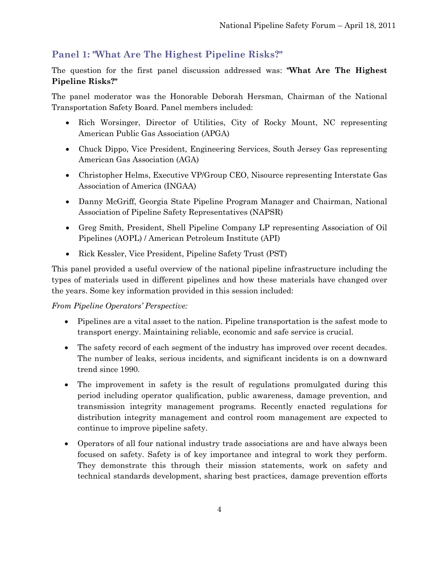## <span id="page-7-0"></span>**Panel 1: "What Are The Highest Pipeline Risks?"**

The question for the first panel discussion addressed was: **"What Are The Highest Pipeline Risks?"**

The panel moderator was the Honorable Deborah Hersman, Chairman of the National Transportation Safety Board. Panel members included:

- Rich Worsinger, Director of Utilities, City of Rocky Mount, NC representing American Public Gas Association (APGA)
- Chuck Dippo, Vice President, Engineering Services, South Jersey Gas representing American Gas Association (AGA)
- Christopher Helms, Executive VP/Group CEO, Nisource representing Interstate Gas Association of America (INGAA)
- Danny McGriff, Georgia State Pipeline Program Manager and Chairman, National Association of Pipeline Safety Representatives (NAPSR)
- Greg Smith, President, Shell Pipeline Company LP representing Association of Oil Pipelines (AOPL) / American Petroleum Institute (API)
- Rick Kessler, Vice President, Pipeline Safety Trust (PST)

This panel provided a useful overview of the national pipeline infrastructure including the types of materials used in different pipelines and how these materials have changed over the years. Some key information provided in this session included:

#### *From Pipeline Operators' Perspective:*

- Pipelines are a vital asset to the nation. Pipeline transportation is the safest mode to transport energy. Maintaining reliable, economic and safe service is crucial.
- The safety record of each segment of the industry has improved over recent decades. The number of leaks, serious incidents, and significant incidents is on a downward trend since 1990.
- The improvement in safety is the result of regulations promulgated during this period including operator qualification, public awareness, damage prevention, and transmission integrity management programs. Recently enacted regulations for distribution integrity management and control room management are expected to continue to improve pipeline safety.
- Operators of all four national industry trade associations are and have always been focused on safety. Safety is of key importance and integral to work they perform. They demonstrate this through their mission statements, work on safety and technical standards development, sharing best practices, damage prevention efforts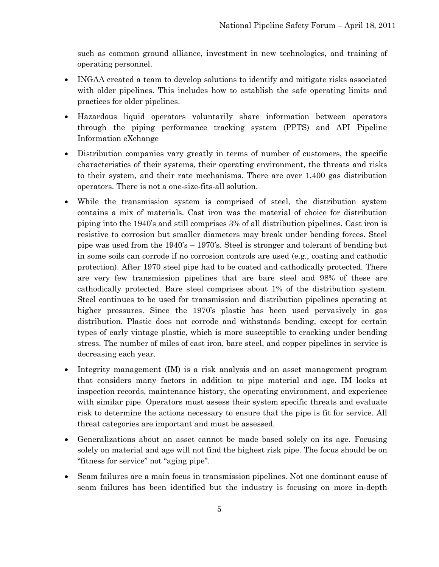such as common ground alliance, investment in new technologies, and training of operating personnel.

- INGAA created a team to develop solutions to identify and mitigate risks associated with older pipelines. This includes how to establish the safe operating limits and practices for older pipelines.
- Hazardous liquid operators voluntarily share information between operators through the piping performance tracking system (PPTS) and API Pipeline Information eXchange
- Distribution companies vary greatly in terms of number of customers, the specific characteristics of their systems, their operating environment, the threats and risks to their system, and their rate mechanisms. There are over 1,400 gas distribution operators. There is not a one-size-fits-all solution.
- While the transmission system is comprised of steel, the distribution system contains a mix of materials. Cast iron was the material of choice for distribution piping into the 1940's and still comprises 3% of all distribution pipelines. Cast iron is resistive to corrosion but smaller diameters may break under bending forces. Steel pipe was used from the 1940's – 1970's. Steel is stronger and tolerant of bending but in some soils can corrode if no corrosion controls are used (e.g., coating and cathodic protection). After 1970 steel pipe had to be coated and cathodically protected. There are very few transmission pipelines that are bare steel and 98% of these are cathodically protected. Bare steel comprises about 1% of the distribution system. Steel continues to be used for transmission and distribution pipelines operating at higher pressures. Since the 1970's plastic has been used pervasively in gas distribution. Plastic does not corrode and withstands bending, except for certain types of early vintage plastic, which is more susceptible to cracking under bending stress. The number of miles of cast iron, bare steel, and copper pipelines in service is decreasing each year.
- Integrity management (IM) is a risk analysis and an asset management program that considers many factors in addition to pipe material and age. IM looks at inspection records, maintenance history, the operating environment, and experience with similar pipe. Operators must assess their system specific threats and evaluate risk to determine the actions necessary to ensure that the pipe is fit for service. All threat categories are important and must be assessed.
- Generalizations about an asset cannot be made based solely on its age. Focusing solely on material and age will not find the highest risk pipe. The focus should be on "fitness for service" not "aging pipe".
- Seam failures are a main focus in transmission pipelines. Not one dominant cause of seam failures has been identified but the industry is focusing on more in-depth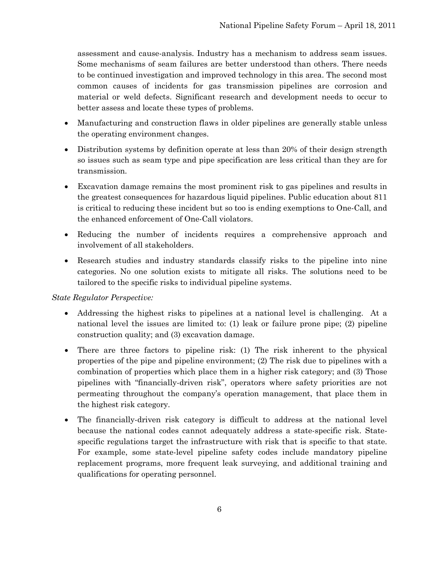assessment and cause-analysis. Industry has a mechanism to address seam issues. Some mechanisms of seam failures are better understood than others. There needs to be continued investigation and improved technology in this area. The second most common causes of incidents for gas transmission pipelines are corrosion and material or weld defects. Significant research and development needs to occur to better assess and locate these types of problems.

- Manufacturing and construction flaws in older pipelines are generally stable unless the operating environment changes.
- Distribution systems by definition operate at less than 20% of their design strength so issues such as seam type and pipe specification are less critical than they are for transmission.
- Excavation damage remains the most prominent risk to gas pipelines and results in the greatest consequences for hazardous liquid pipelines. Public education about 811 is critical to reducing these incident but so too is ending exemptions to One-Call, and the enhanced enforcement of One-Call violators.
- Reducing the number of incidents requires a comprehensive approach and involvement of all stakeholders.
- Research studies and industry standards classify risks to the pipeline into nine categories. No one solution exists to mitigate all risks. The solutions need to be tailored to the specific risks to individual pipeline systems.

#### *State Regulator Perspective:*

- Addressing the highest risks to pipelines at a national level is challenging. At a national level the issues are limited to: (1) leak or failure prone pipe; (2) pipeline construction quality; and (3) excavation damage.
- There are three factors to pipeline risk: (1) The risk inherent to the physical properties of the pipe and pipeline environment; (2) The risk due to pipelines with a combination of properties which place them in a higher risk category; and (3) Those pipelines with "financially-driven risk", operators where safety priorities are not permeating throughout the company's operation management, that place them in the highest risk category.
- The financially-driven risk category is difficult to address at the national level because the national codes cannot adequately address a state-specific risk. Statespecific regulations target the infrastructure with risk that is specific to that state. For example, some state-level pipeline safety codes include mandatory pipeline replacement programs, more frequent leak surveying, and additional training and qualifications for operating personnel.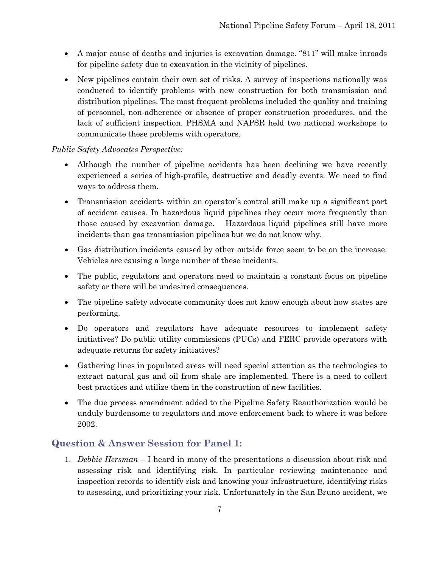- A major cause of deaths and injuries is excavation damage. "811" will make inroads for pipeline safety due to excavation in the vicinity of pipelines.
- New pipelines contain their own set of risks. A survey of inspections nationally was conducted to identify problems with new construction for both transmission and distribution pipelines. The most frequent problems included the quality and training of personnel, non-adherence or absence of proper construction procedures, and the lack of sufficient inspection. PHSMA and NAPSR held two national workshops to communicate these problems with operators.

#### *Public Safety Advocates Perspective:*

- Although the number of pipeline accidents has been declining we have recently experienced a series of high-profile, destructive and deadly events. We need to find ways to address them.
- Transmission accidents within an operator's control still make up a significant part of accident causes. In hazardous liquid pipelines they occur more frequently than those caused by excavation damage. Hazardous liquid pipelines still have more incidents than gas transmission pipelines but we do not know why.
- Gas distribution incidents caused by other outside force seem to be on the increase. Vehicles are causing a large number of these incidents.
- The public, regulators and operators need to maintain a constant focus on pipeline safety or there will be undesired consequences.
- The pipeline safety advocate community does not know enough about how states are performing.
- Do operators and regulators have adequate resources to implement safety initiatives? Do public utility commissions (PUCs) and FERC provide operators with adequate returns for safety initiatives?
- Gathering lines in populated areas will need special attention as the technologies to extract natural gas and oil from shale are implemented. There is a need to collect best practices and utilize them in the construction of new facilities.
- The due process amendment added to the Pipeline Safety Reauthorization would be unduly burdensome to regulators and move enforcement back to where it was before 2002.

### <span id="page-10-0"></span>**Question & Answer Session for Panel 1:**

1. *Debbie Hersman* – I heard in many of the presentations a discussion about risk and assessing risk and identifying risk. In particular reviewing maintenance and inspection records to identify risk and knowing your infrastructure, identifying risks to assessing, and prioritizing your risk. Unfortunately in the San Bruno accident, we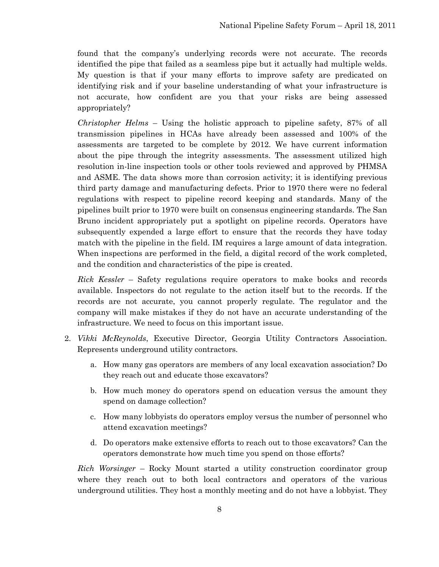found that the company's underlying records were not accurate. The records identified the pipe that failed as a seamless pipe but it actually had multiple welds. My question is that if your many efforts to improve safety are predicated on identifying risk and if your baseline understanding of what your infrastructure is not accurate, how confident are you that your risks are being assessed appropriately?

*Christopher Helms* – Using the holistic approach to pipeline safety, 87% of all transmission pipelines in HCAs have already been assessed and 100% of the assessments are targeted to be complete by 2012. We have current information about the pipe through the integrity assessments. The assessment utilized high resolution in-line inspection tools or other tools reviewed and approved by PHMSA and ASME. The data shows more than corrosion activity; it is identifying previous third party damage and manufacturing defects. Prior to 1970 there were no federal regulations with respect to pipeline record keeping and standards. Many of the pipelines built prior to 1970 were built on consensus engineering standards. The San Bruno incident appropriately put a spotlight on pipeline records. Operators have subsequently expended a large effort to ensure that the records they have today match with the pipeline in the field. IM requires a large amount of data integration. When inspections are performed in the field, a digital record of the work completed, and the condition and characteristics of the pipe is created.

*Rick Kessler* – Safety regulations require operators to make books and records available. Inspectors do not regulate to the action itself but to the records. If the records are not accurate, you cannot properly regulate. The regulator and the company will make mistakes if they do not have an accurate understanding of the infrastructure. We need to focus on this important issue.

- 2. *Vikki McReynolds*, Executive Director, Georgia Utility Contractors Association. Represents underground utility contractors.
	- a. How many gas operators are members of any local excavation association? Do they reach out and educate those excavators?
	- b. How much money do operators spend on education versus the amount they spend on damage collection?
	- c. How many lobbyists do operators employ versus the number of personnel who attend excavation meetings?
	- d. Do operators make extensive efforts to reach out to those excavators? Can the operators demonstrate how much time you spend on those efforts?

*Rich Worsinger* – Rocky Mount started a utility construction coordinator group where they reach out to both local contractors and operators of the various underground utilities. They host a monthly meeting and do not have a lobbyist. They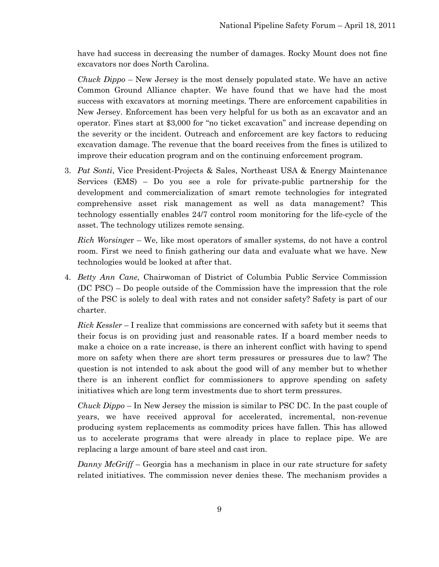have had success in decreasing the number of damages. Rocky Mount does not fine excavators nor does North Carolina.

*Chuck Dippo* – New Jersey is the most densely populated state. We have an active Common Ground Alliance chapter. We have found that we have had the most success with excavators at morning meetings. There are enforcement capabilities in New Jersey. Enforcement has been very helpful for us both as an excavator and an operator. Fines start at \$3,000 for "no ticket excavation" and increase depending on the severity or the incident. Outreach and enforcement are key factors to reducing excavation damage. The revenue that the board receives from the fines is utilized to improve their education program and on the continuing enforcement program.

3. *Pat Sonti*, Vice President-Projects & Sales, Northeast USA & Energy Maintenance Services (EMS) – Do you see a role for private-public partnership for the development and commercialization of smart remote technologies for integrated comprehensive asset risk management as well as data management? This technology essentially enables 24/7 control room monitoring for the life-cycle of the asset. The technology utilizes remote sensing.

*Rich Worsinge*r – We, like most operators of smaller systems, do not have a control room. First we need to finish gathering our data and evaluate what we have. New technologies would be looked at after that.

4. *Betty Ann Cane*, Chairwoman of District of Columbia Public Service Commission (DC PSC) – Do people outside of the Commission have the impression that the role of the PSC is solely to deal with rates and not consider safety? Safety is part of our charter.

*Rick Kessler* – I realize that commissions are concerned with safety but it seems that their focus is on providing just and reasonable rates. If a board member needs to make a choice on a rate increase, is there an inherent conflict with having to spend more on safety when there are short term pressures or pressures due to law? The question is not intended to ask about the good will of any member but to whether there is an inherent conflict for commissioners to approve spending on safety initiatives which are long term investments due to short term pressures.

*Chuck Dippo* – In New Jersey the mission is similar to PSC DC. In the past couple of years, we have received approval for accelerated, incremental, non-revenue producing system replacements as commodity prices have fallen. This has allowed us to accelerate programs that were already in place to replace pipe. We are replacing a large amount of bare steel and cast iron.

*Danny McGriff* – Georgia has a mechanism in place in our rate structure for safety related initiatives. The commission never denies these. The mechanism provides a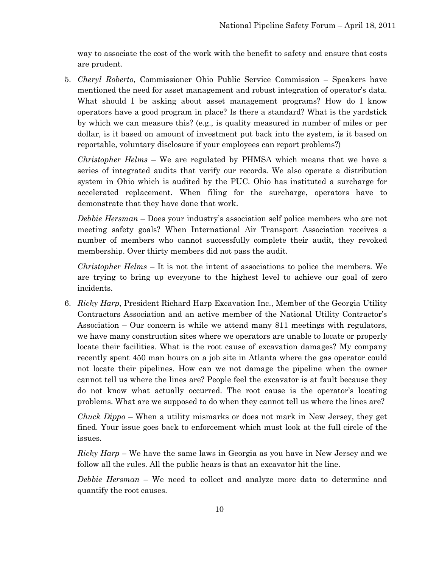way to associate the cost of the work with the benefit to safety and ensure that costs are prudent.

5. *Cheryl Roberto*, Commissioner Ohio Public Service Commission – Speakers have mentioned the need for asset management and robust integration of operator's data. What should I be asking about asset management programs? How do I know operators have a good program in place? Is there a standard? What is the yardstick by which we can measure this? (e.g., is quality measured in number of miles or per dollar, is it based on amount of investment put back into the system, is it based on reportable, voluntary disclosure if your employees can report problems?)

*Christopher Helms* – We are regulated by PHMSA which means that we have a series of integrated audits that verify our records. We also operate a distribution system in Ohio which is audited by the PUC. Ohio has instituted a surcharge for accelerated replacement. When filing for the surcharge, operators have to demonstrate that they have done that work.

*Debbie Hersman* – Does your industry's association self police members who are not meeting safety goals? When International Air Transport Association receives a number of members who cannot successfully complete their audit, they revoked membership. Over thirty members did not pass the audit.

*Christopher Helms* – It is not the intent of associations to police the members. We are trying to bring up everyone to the highest level to achieve our goal of zero incidents.

6. *Ricky Harp*, President Richard Harp Excavation Inc., Member of the Georgia Utility Contractors Association and an active member of the National Utility Contractor's Association – Our concern is while we attend many 811 meetings with regulators, we have many construction sites where we operators are unable to locate or properly locate their facilities. What is the root cause of excavation damages? My company recently spent 450 man hours on a job site in Atlanta where the gas operator could not locate their pipelines. How can we not damage the pipeline when the owner cannot tell us where the lines are? People feel the excavator is at fault because they do not know what actually occurred. The root cause is the operator's locating problems. What are we supposed to do when they cannot tell us where the lines are?

*Chuck Dippo* – When a utility mismarks or does not mark in New Jersey, they get fined. Your issue goes back to enforcement which must look at the full circle of the issues.

*Ricky Harp* – We have the same laws in Georgia as you have in New Jersey and we follow all the rules. All the public hears is that an excavator hit the line.

*Debbie Hersman* – We need to collect and analyze more data to determine and quantify the root causes.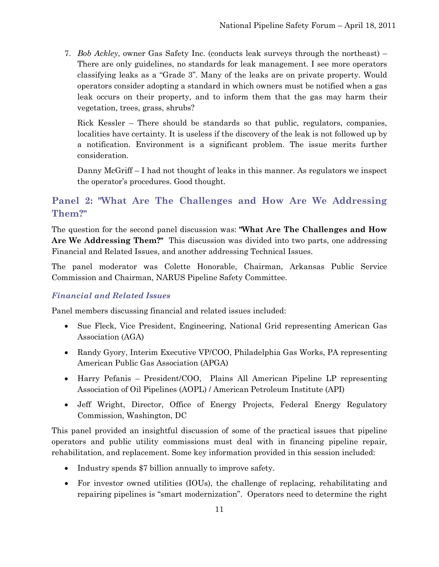7. *Bob Ackley*, owner Gas Safety Inc. (conducts leak surveys through the northeast) – There are only guidelines, no standards for leak management. I see more operators classifying leaks as a "Grade 3". Many of the leaks are on private property. Would operators consider adopting a standard in which owners must be notified when a gas leak occurs on their property, and to inform them that the gas may harm their vegetation, trees, grass, shrubs?

Rick Kessler – There should be standards so that public, regulators, companies, localities have certainty. It is useless if the discovery of the leak is not followed up by a notification. Environment is a significant problem. The issue merits further consideration.

Danny McGriff – I had not thought of leaks in this manner. As regulators we inspect the operator's procedures. Good thought.

### <span id="page-14-0"></span>**Panel 2: "What Are The Challenges and How Are We Addressing Them?"**

The question for the second panel discussion was: **"What Are The Challenges and How Are We Addressing Them?"** This discussion was divided into two parts, one addressing Financial and Related Issues, and another addressing Technical Issues.

The panel moderator was Colette Honorable, Chairman, Arkansas Public Service Commission and Chairman, NARUS Pipeline Safety Committee.

#### <span id="page-14-1"></span>*Financial and Related Issues*

Panel members discussing financial and related issues included:

- Sue Fleck, Vice President, Engineering, National Grid representing American Gas Association (AGA)
- Randy Gyory, Interim Executive VP/COO, Philadelphia Gas Works, PA representing American Public Gas Association (APGA)
- Harry Pefanis President/COO, Plains All American Pipeline LP representing Association of Oil Pipelines (AOPL) / American Petroleum Institute (API)
- Jeff Wright, Director, Office of Energy Projects, Federal Energy Regulatory Commission, Washington, DC

This panel provided an insightful discussion of some of the practical issues that pipeline operators and public utility commissions must deal with in financing pipeline repair, rehabilitation, and replacement. Some key information provided in this session included:

- Industry spends \$7 billion annually to improve safety.
- For investor owned utilities (IOUs), the challenge of replacing, rehabilitating and repairing pipelines is "smart modernization". Operators need to determine the right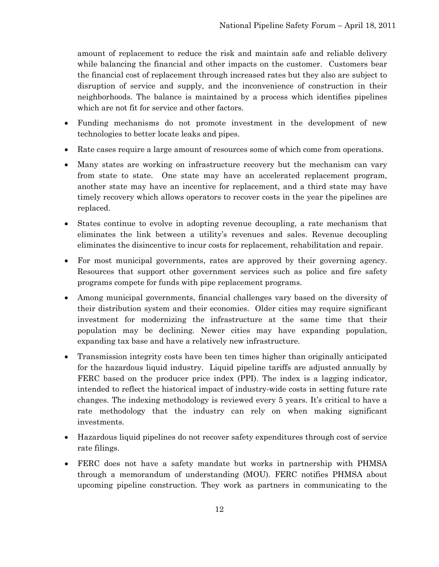amount of replacement to reduce the risk and maintain safe and reliable delivery while balancing the financial and other impacts on the customer. Customers bear the financial cost of replacement through increased rates but they also are subject to disruption of service and supply, and the inconvenience of construction in their neighborhoods. The balance is maintained by a process which identifies pipelines which are not fit for service and other factors.

- Funding mechanisms do not promote investment in the development of new technologies to better locate leaks and pipes.
- Rate cases require a large amount of resources some of which come from operations.
- Many states are working on infrastructure recovery but the mechanism can vary from state to state. One state may have an accelerated replacement program, another state may have an incentive for replacement, and a third state may have timely recovery which allows operators to recover costs in the year the pipelines are replaced.
- States continue to evolve in adopting revenue decoupling, a rate mechanism that eliminates the link between a utility's revenues and sales. Revenue decoupling eliminates the disincentive to incur costs for replacement, rehabilitation and repair.
- For most municipal governments, rates are approved by their governing agency. Resources that support other government services such as police and fire safety programs compete for funds with pipe replacement programs.
- Among municipal governments, financial challenges vary based on the diversity of their distribution system and their economies. Older cities may require significant investment for modernizing the infrastructure at the same time that their population may be declining. Newer cities may have expanding population, expanding tax base and have a relatively new infrastructure.
- Transmission integrity costs have been ten times higher than originally anticipated for the hazardous liquid industry. Liquid pipeline tariffs are adjusted annually by FERC based on the producer price index (PPI). The index is a lagging indicator, intended to reflect the historical impact of industry-wide costs in setting future rate changes. The indexing methodology is reviewed every 5 years. It's critical to have a rate methodology that the industry can rely on when making significant investments.
- Hazardous liquid pipelines do not recover safety expenditures through cost of service rate filings.
- FERC does not have a safety mandate but works in partnership with PHMSA through a memorandum of understanding (MOU). FERC notifies PHMSA about upcoming pipeline construction. They work as partners in communicating to the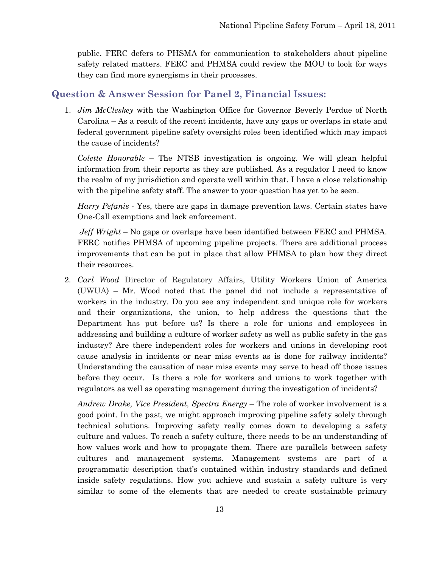public. FERC defers to PHSMA for communication to stakeholders about pipeline safety related matters. FERC and PHMSA could review the MOU to look for ways they can find more synergisms in their processes.

### <span id="page-16-0"></span>**Question & Answer Session for Panel 2, Financial Issues:**

1. *Jim McCleskey* with the Washington Office for Governor Beverly Perdue of North Carolina – As a result of the recent incidents, have any gaps or overlaps in state and federal government pipeline safety oversight roles been identified which may impact the cause of incidents?

*Colette Honorable* – The NTSB investigation is ongoing. We will glean helpful information from their reports as they are published. As a regulator I need to know the realm of my jurisdiction and operate well within that. I have a close relationship with the pipeline safety staff. The answer to your question has yet to be seen.

*Harry Pefanis* - Yes, there are gaps in damage prevention laws. Certain states have One-Call exemptions and lack enforcement.

*Jeff Wright* – No gaps or overlaps have been identified between FERC and PHMSA. FERC notifies PHMSA of upcoming pipeline projects. There are additional process improvements that can be put in place that allow PHMSA to plan how they direct their resources.

2. *Carl Wood* Director of Regulatory Affairs, Utility Workers Union of America (UWUA) – Mr. Wood noted that the panel did not include a representative of workers in the industry. Do you see any independent and unique role for workers and their organizations, the union, to help address the questions that the Department has put before us? Is there a role for unions and employees in addressing and building a culture of worker safety as well as public safety in the gas industry? Are there independent roles for workers and unions in developing root cause analysis in incidents or near miss events as is done for railway incidents? Understanding the causation of near miss events may serve to head off those issues before they occur. Is there a role for workers and unions to work together with regulators as well as operating management during the investigation of incidents?

*Andrew Drake, Vice President, Spectra Energy* – The role of worker involvement is a good point. In the past, we might approach improving pipeline safety solely through technical solutions. Improving safety really comes down to developing a safety culture and values. To reach a safety culture, there needs to be an understanding of how values work and how to propagate them. There are parallels between safety cultures and management systems. Management systems are part of a programmatic description that's contained within industry standards and defined inside safety regulations. How you achieve and sustain a safety culture is very similar to some of the elements that are needed to create sustainable primary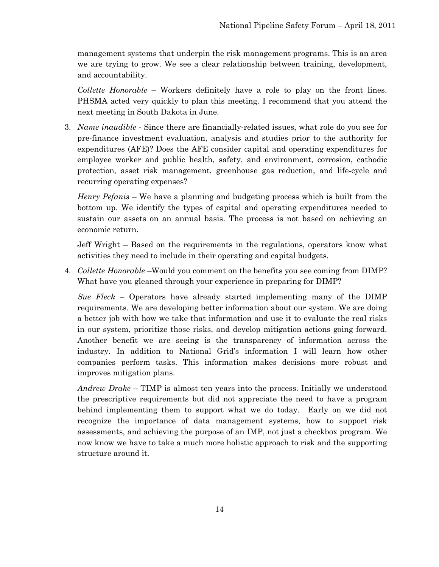management systems that underpin the risk management programs. This is an area we are trying to grow. We see a clear relationship between training, development, and accountability.

*Collette Honorable* – Workers definitely have a role to play on the front lines. PHSMA acted very quickly to plan this meeting. I recommend that you attend the next meeting in South Dakota in June.

3. *Name inaudible* - Since there are financially-related issues, what role do you see for pre-finance investment evaluation, analysis and studies prior to the authority for expenditures (AFE)? Does the AFE consider capital and operating expenditures for employee worker and public health, safety, and environment, corrosion, cathodic protection, asset risk management, greenhouse gas reduction, and life-cycle and recurring operating expenses?

*Henry Pefanis* – We have a planning and budgeting process which is built from the bottom up. We identify the types of capital and operating expenditures needed to sustain our assets on an annual basis. The process is not based on achieving an economic return.

Jeff Wright – Based on the requirements in the regulations, operators know what activities they need to include in their operating and capital budgets,

4. *Collette Honorable* –Would you comment on the benefits you see coming from DIMP? What have you gleaned through your experience in preparing for DIMP?

*Sue Fleck* – Operators have already started implementing many of the DIMP requirements. We are developing better information about our system. We are doing a better job with how we take that information and use it to evaluate the real risks in our system, prioritize those risks, and develop mitigation actions going forward. Another benefit we are seeing is the transparency of information across the industry. In addition to National Grid's information I will learn how other companies perform tasks. This information makes decisions more robust and improves mitigation plans.

*Andrew Drake* – TIMP is almost ten years into the process. Initially we understood the prescriptive requirements but did not appreciate the need to have a program behind implementing them to support what we do today. Early on we did not recognize the importance of data management systems, how to support risk assessments, and achieving the purpose of an IMP, not just a checkbox program. We now know we have to take a much more holistic approach to risk and the supporting structure around it.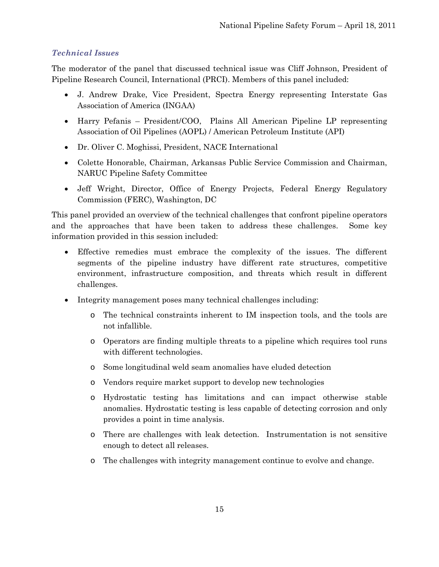#### <span id="page-18-0"></span>*Technical Issues*

The moderator of the panel that discussed technical issue was Cliff Johnson, President of Pipeline Research Council, International (PRCI). Members of this panel included:

- J. Andrew Drake, Vice President, Spectra Energy representing Interstate Gas Association of America (INGAA)
- Harry Pefanis President/COO, Plains All American Pipeline LP representing Association of Oil Pipelines (AOPL) / American Petroleum Institute (API)
- Dr. Oliver C. Moghissi, President, NACE International
- Colette Honorable, Chairman, Arkansas Public Service Commission and Chairman, NARUC Pipeline Safety Committee
- Jeff Wright, Director, Office of Energy Projects, Federal Energy Regulatory Commission (FERC), Washington, DC

This panel provided an overview of the technical challenges that confront pipeline operators and the approaches that have been taken to address these challenges. Some key information provided in this session included:

- Effective remedies must embrace the complexity of the issues. The different segments of the pipeline industry have different rate structures, competitive environment, infrastructure composition, and threats which result in different challenges.
- Integrity management poses many technical challenges including:
	- o The technical constraints inherent to IM inspection tools, and the tools are not infallible.
	- o Operators are finding multiple threats to a pipeline which requires tool runs with different technologies.
	- o Some longitudinal weld seam anomalies have eluded detection
	- o Vendors require market support to develop new technologies
	- o Hydrostatic testing has limitations and can impact otherwise stable anomalies. Hydrostatic testing is less capable of detecting corrosion and only provides a point in time analysis.
	- o There are challenges with leak detection. Instrumentation is not sensitive enough to detect all releases.
	- o The challenges with integrity management continue to evolve and change.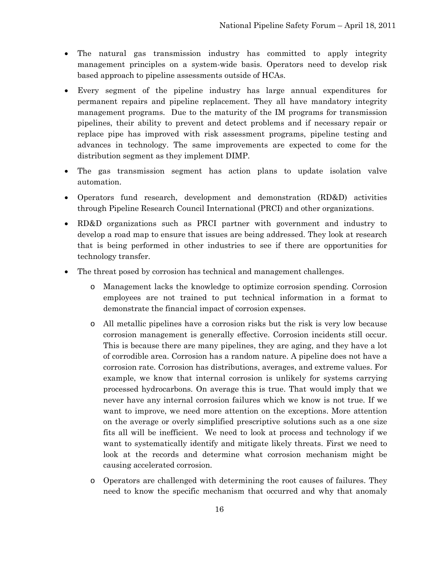- The natural gas transmission industry has committed to apply integrity management principles on a system-wide basis. Operators need to develop risk based approach to pipeline assessments outside of HCAs.
- Every segment of the pipeline industry has large annual expenditures for permanent repairs and pipeline replacement. They all have mandatory integrity management programs. Due to the maturity of the IM programs for transmission pipelines, their ability to prevent and detect problems and if necessary repair or replace pipe has improved with risk assessment programs, pipeline testing and advances in technology. The same improvements are expected to come for the distribution segment as they implement DIMP.
- The gas transmission segment has action plans to update isolation valve automation.
- Operators fund research, development and demonstration (RD&D) activities through Pipeline Research Council International (PRCI) and other organizations.
- RD&D organizations such as PRCI partner with government and industry to develop a road map to ensure that issues are being addressed. They look at research that is being performed in other industries to see if there are opportunities for technology transfer.
- The threat posed by corrosion has technical and management challenges.
	- o Management lacks the knowledge to optimize corrosion spending. Corrosion employees are not trained to put technical information in a format to demonstrate the financial impact of corrosion expenses.
	- o All metallic pipelines have a corrosion risks but the risk is very low because corrosion management is generally effective. Corrosion incidents still occur. This is because there are many pipelines, they are aging, and they have a lot of corrodible area. Corrosion has a random nature. A pipeline does not have a corrosion rate. Corrosion has distributions, averages, and extreme values. For example, we know that internal corrosion is unlikely for systems carrying processed hydrocarbons. On average this is true. That would imply that we never have any internal corrosion failures which we know is not true. If we want to improve, we need more attention on the exceptions. More attention on the average or overly simplified prescriptive solutions such as a one size fits all will be inefficient. We need to look at process and technology if we want to systematically identify and mitigate likely threats. First we need to look at the records and determine what corrosion mechanism might be causing accelerated corrosion.
	- o Operators are challenged with determining the root causes of failures. They need to know the specific mechanism that occurred and why that anomaly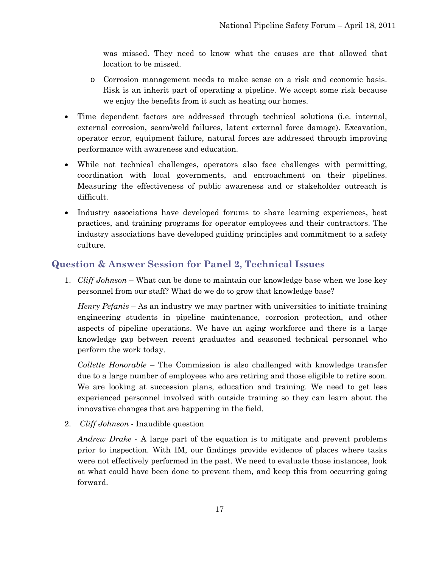was missed. They need to know what the causes are that allowed that location to be missed.

- o Corrosion management needs to make sense on a risk and economic basis. Risk is an inherit part of operating a pipeline. We accept some risk because we enjoy the benefits from it such as heating our homes.
- Time dependent factors are addressed through technical solutions (i.e. internal, external corrosion, seam/weld failures, latent external force damage). Excavation, operator error, equipment failure, natural forces are addressed through improving performance with awareness and education.
- While not technical challenges, operators also face challenges with permitting, coordination with local governments, and encroachment on their pipelines. Measuring the effectiveness of public awareness and or stakeholder outreach is difficult.
- Industry associations have developed forums to share learning experiences, best practices, and training programs for operator employees and their contractors. The industry associations have developed guiding principles and commitment to a safety culture.

### <span id="page-20-0"></span>**Question & Answer Session for Panel 2, Technical Issues**

1. *Cliff Johnson* – What can be done to maintain our knowledge base when we lose key personnel from our staff? What do we do to grow that knowledge base?

*Henry Pefanis* – As an industry we may partner with universities to initiate training engineering students in pipeline maintenance, corrosion protection, and other aspects of pipeline operations. We have an aging workforce and there is a large knowledge gap between recent graduates and seasoned technical personnel who perform the work today.

*Collette Honorable* – The Commission is also challenged with knowledge transfer due to a large number of employees who are retiring and those eligible to retire soon. We are looking at succession plans, education and training. We need to get less experienced personnel involved with outside training so they can learn about the innovative changes that are happening in the field.

2. *Cliff Johnson* - Inaudible question

*Andrew Drake* - A large part of the equation is to mitigate and prevent problems prior to inspection. With IM, our findings provide evidence of places where tasks were not effectively performed in the past. We need to evaluate those instances, look at what could have been done to prevent them, and keep this from occurring going forward.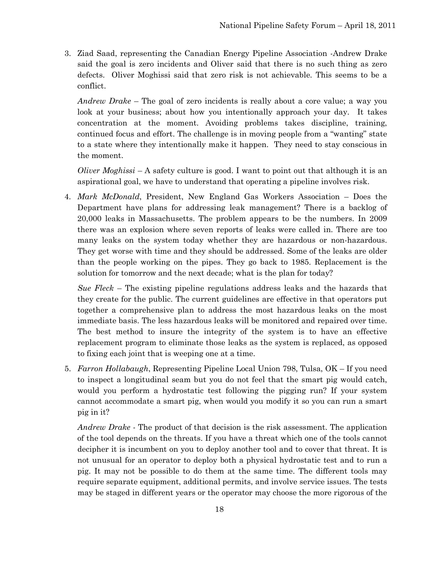3. Ziad Saad, representing the Canadian Energy Pipeline Association -Andrew Drake said the goal is zero incidents and Oliver said that there is no such thing as zero defects. Oliver Moghissi said that zero risk is not achievable. This seems to be a conflict.

*Andrew Drake* – The goal of zero incidents is really about a core value; a way you look at your business; about how you intentionally approach your day. It takes concentration at the moment. Avoiding problems takes discipline, training, continued focus and effort. The challenge is in moving people from a "wanting" state to a state where they intentionally make it happen. They need to stay conscious in the moment.

*Oliver Moghissi* – A safety culture is good. I want to point out that although it is an aspirational goal, we have to understand that operating a pipeline involves risk.

4. *Mark McDonald*, President, New England Gas Workers Association – Does the Department have plans for addressing leak management? There is a backlog of 20,000 leaks in Massachusetts. The problem appears to be the numbers. In 2009 there was an explosion where seven reports of leaks were called in. There are too many leaks on the system today whether they are hazardous or non-hazardous. They get worse with time and they should be addressed. Some of the leaks are older than the people working on the pipes. They go back to 1985. Replacement is the solution for tomorrow and the next decade; what is the plan for today?

*Sue Fleck* – The existing pipeline regulations address leaks and the hazards that they create for the public. The current guidelines are effective in that operators put together a comprehensive plan to address the most hazardous leaks on the most immediate basis. The less hazardous leaks will be monitored and repaired over time. The best method to insure the integrity of the system is to have an effective replacement program to eliminate those leaks as the system is replaced, as opposed to fixing each joint that is weeping one at a time.

5. *Farron Hollabaugh*, Representing Pipeline Local Union 798, Tulsa, OK – If you need to inspect a longitudinal seam but you do not feel that the smart pig would catch, would you perform a hydrostatic test following the pigging run? If your system cannot accommodate a smart pig, when would you modify it so you can run a smart pig in it?

*Andrew Drake -* The product of that decision is the risk assessment. The application of the tool depends on the threats. If you have a threat which one of the tools cannot decipher it is incumbent on you to deploy another tool and to cover that threat. It is not unusual for an operator to deploy both a physical hydrostatic test and to run a pig. It may not be possible to do them at the same time. The different tools may require separate equipment, additional permits, and involve service issues. The tests may be staged in different years or the operator may choose the more rigorous of the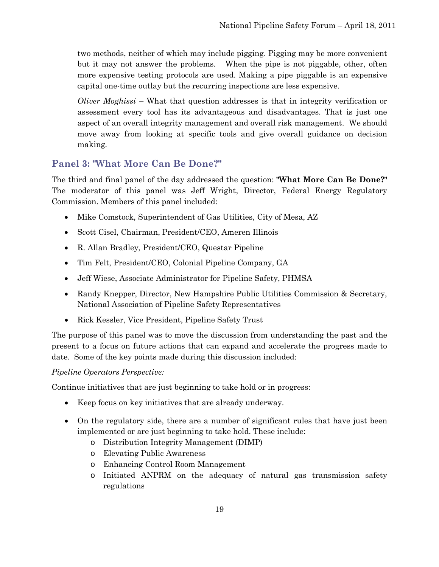two methods, neither of which may include pigging. Pigging may be more convenient but it may not answer the problems. When the pipe is not piggable, other, often more expensive testing protocols are used. Making a pipe piggable is an expensive capital one-time outlay but the recurring inspections are less expensive.

*Oliver Moghissi* – What that question addresses is that in integrity verification or assessment every tool has its advantageous and disadvantages. That is just one aspect of an overall integrity management and overall risk management. We should move away from looking at specific tools and give overall guidance on decision making.

### <span id="page-22-0"></span>**Panel 3: "What More Can Be Done?"**

The third and final panel of the day addressed the question: **"What More Can Be Done?"**  The moderator of this panel was Jeff Wright, Director, Federal Energy Regulatory Commission. Members of this panel included:

- Mike Comstock, Superintendent of Gas Utilities, City of Mesa, AZ
- Scott Cisel, Chairman, President/CEO, Ameren Illinois
- R. Allan Bradley, President/CEO, Questar Pipeline
- Tim Felt, President/CEO, Colonial Pipeline Company, GA
- Jeff Wiese, Associate Administrator for Pipeline Safety, PHMSA
- Randy Knepper, Director, New Hampshire Public Utilities Commission & Secretary, National Association of Pipeline Safety Representatives
- Rick Kessler, Vice President, Pipeline Safety Trust

The purpose of this panel was to move the discussion from understanding the past and the present to a focus on future actions that can expand and accelerate the progress made to date. Some of the key points made during this discussion included:

#### *Pipeline Operators Perspective:*

Continue initiatives that are just beginning to take hold or in progress:

- Keep focus on key initiatives that are already underway.
- On the regulatory side, there are a number of significant rules that have just been implemented or are just beginning to take hold. These include:
	- o Distribution Integrity Management (DIMP)
	- o Elevating Public Awareness
	- o Enhancing Control Room Management
	- o Initiated ANPRM on the adequacy of natural gas transmission safety regulations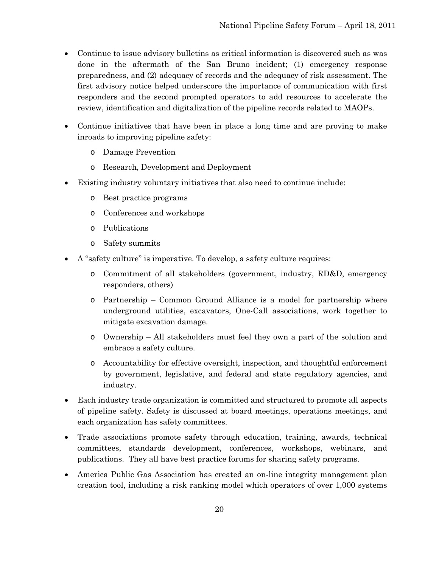- Continue to issue advisory bulletins as critical information is discovered such as was done in the aftermath of the San Bruno incident; (1) emergency response preparedness, and (2) adequacy of records and the adequacy of risk assessment. The first advisory notice helped underscore the importance of communication with first responders and the second prompted operators to add resources to accelerate the review, identification and digitalization of the pipeline records related to MAOPs.
- Continue initiatives that have been in place a long time and are proving to make inroads to improving pipeline safety:
	- o Damage Prevention
	- o Research, Development and Deployment
- Existing industry voluntary initiatives that also need to continue include:
	- o Best practice programs
	- o Conferences and workshops
	- o Publications
	- o Safety summits
- A "safety culture" is imperative. To develop, a safety culture requires:
	- o Commitment of all stakeholders (government, industry, RD&D, emergency responders, others)
	- o Partnership Common Ground Alliance is a model for partnership where underground utilities, excavators, One-Call associations, work together to mitigate excavation damage.
	- o Ownership All stakeholders must feel they own a part of the solution and embrace a safety culture.
	- o Accountability for effective oversight, inspection, and thoughtful enforcement by government, legislative, and federal and state regulatory agencies, and industry.
- Each industry trade organization is committed and structured to promote all aspects of pipeline safety. Safety is discussed at board meetings, operations meetings, and each organization has safety committees.
- Trade associations promote safety through education, training, awards, technical committees, standards development, conferences, workshops, webinars, and publications. They all have best practice forums for sharing safety programs.
- America Public Gas Association has created an on-line integrity management plan creation tool, including a risk ranking model which operators of over 1,000 systems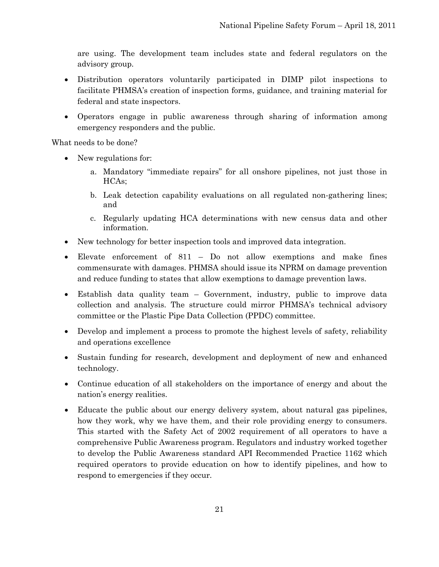are using. The development team includes state and federal regulators on the advisory group.

- Distribution operators voluntarily participated in DIMP pilot inspections to facilitate PHMSA's creation of inspection forms, guidance, and training material for federal and state inspectors.
- Operators engage in public awareness through sharing of information among emergency responders and the public.

What needs to be done?

- New regulations for:
	- a. Mandatory "immediate repairs" for all onshore pipelines, not just those in HCAs;
	- b. Leak detection capability evaluations on all regulated non-gathering lines; and
	- c. Regularly updating HCA determinations with new census data and other information.
- New technology for better inspection tools and improved data integration.
- Elevate enforcement of 811 Do not allow exemptions and make fines commensurate with damages. PHMSA should issue its NPRM on damage prevention and reduce funding to states that allow exemptions to damage prevention laws.
- Establish data quality team Government, industry, public to improve data collection and analysis. The structure could mirror PHMSA's technical advisory committee or the Plastic Pipe Data Collection (PPDC) committee.
- Develop and implement a process to promote the highest levels of safety, reliability and operations excellence
- Sustain funding for research, development and deployment of new and enhanced technology.
- Continue education of all stakeholders on the importance of energy and about the nation's energy realities.
- Educate the public about our energy delivery system, about natural gas pipelines, how they work, why we have them, and their role providing energy to consumers. This started with the Safety Act of 2002 requirement of all operators to have a comprehensive Public Awareness program. Regulators and industry worked together to develop the Public Awareness standard API Recommended Practice 1162 which required operators to provide education on how to identify pipelines, and how to respond to emergencies if they occur.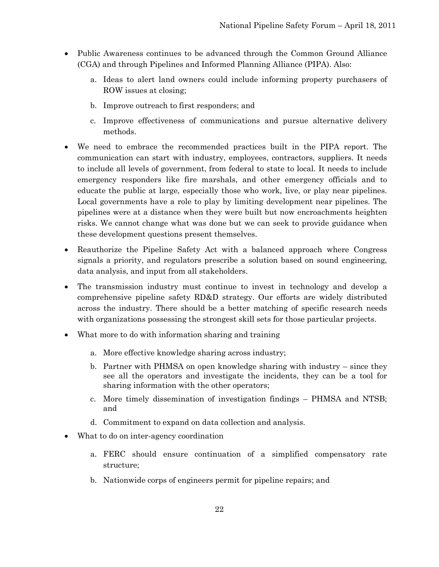- Public Awareness continues to be advanced through the Common Ground Alliance (CGA) and through Pipelines and Informed Planning Alliance (PIPA). Also:
	- a. Ideas to alert land owners could include informing property purchasers of ROW issues at closing;
	- b. Improve outreach to first responders; and
	- c. Improve effectiveness of communications and pursue alternative delivery methods.
- We need to embrace the recommended practices built in the PIPA report. The communication can start with industry, employees, contractors, suppliers. It needs to include all levels of government, from federal to state to local. It needs to include emergency responders like fire marshals, and other emergency officials and to educate the public at large, especially those who work, live, or play near pipelines. Local governments have a role to play by limiting development near pipelines. The pipelines were at a distance when they were built but now encroachments heighten risks. We cannot change what was done but we can seek to provide guidance when these development questions present themselves.
- Reauthorize the Pipeline Safety Act with a balanced approach where Congress signals a priority, and regulators prescribe a solution based on sound engineering, data analysis, and input from all stakeholders.
- The transmission industry must continue to invest in technology and develop a comprehensive pipeline safety RD&D strategy. Our efforts are widely distributed across the industry. There should be a better matching of specific research needs with organizations possessing the strongest skill sets for those particular projects.
- What more to do with information sharing and training
	- a. More effective knowledge sharing across industry;
	- b. Partner with PHMSA on open knowledge sharing with industry since they see all the operators and investigate the incidents, they can be a tool for sharing information with the other operators;
	- c. More timely dissemination of investigation findings PHMSA and NTSB; and
	- d. Commitment to expand on data collection and analysis.
- What to do on inter-agency coordination
	- a. FERC should ensure continuation of a simplified compensatory rate structure;
	- b. Nationwide corps of engineers permit for pipeline repairs; and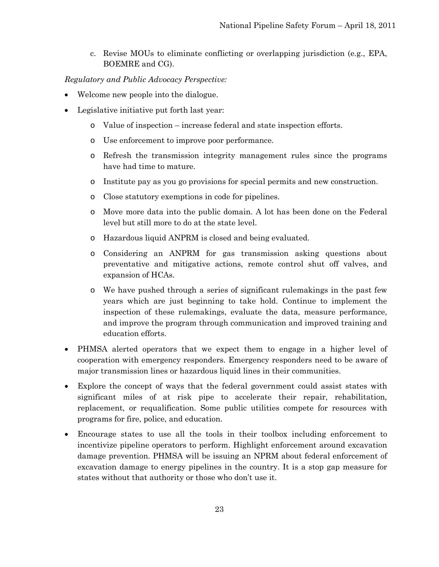c. Revise MOUs to eliminate conflicting or overlapping jurisdiction (e.g., EPA, BOEMRE and CG).

#### *Regulatory and Public Advocacy Perspective:*

- Welcome new people into the dialogue.
- Legislative initiative put forth last year:
	- o Value of inspection increase federal and state inspection efforts.
	- o Use enforcement to improve poor performance.
	- o Refresh the transmission integrity management rules since the programs have had time to mature.
	- o Institute pay as you go provisions for special permits and new construction.
	- o Close statutory exemptions in code for pipelines.
	- o Move more data into the public domain. A lot has been done on the Federal level but still more to do at the state level.
	- o Hazardous liquid ANPRM is closed and being evaluated.
	- o Considering an ANPRM for gas transmission asking questions about preventative and mitigative actions, remote control shut off valves, and expansion of HCAs.
	- o We have pushed through a series of significant rulemakings in the past few years which are just beginning to take hold. Continue to implement the inspection of these rulemakings, evaluate the data, measure performance, and improve the program through communication and improved training and education efforts.
- PHMSA alerted operators that we expect them to engage in a higher level of cooperation with emergency responders. Emergency responders need to be aware of major transmission lines or hazardous liquid lines in their communities.
- Explore the concept of ways that the federal government could assist states with significant miles of at risk pipe to accelerate their repair, rehabilitation, replacement, or requalification. Some public utilities compete for resources with programs for fire, police, and education.
- Encourage states to use all the tools in their toolbox including enforcement to incentivize pipeline operators to perform. Highlight enforcement around excavation damage prevention. PHMSA will be issuing an NPRM about federal enforcement of excavation damage to energy pipelines in the country. It is a stop gap measure for states without that authority or those who don't use it.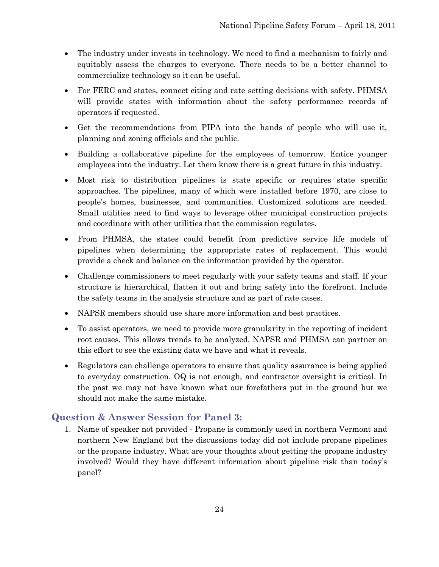- The industry under invests in technology. We need to find a mechanism to fairly and equitably assess the charges to everyone. There needs to be a better channel to commercialize technology so it can be useful.
- For FERC and states, connect citing and rate setting decisions with safety. PHMSA will provide states with information about the safety performance records of operators if requested.
- Get the recommendations from PIPA into the hands of people who will use it, planning and zoning officials and the public.
- Building a collaborative pipeline for the employees of tomorrow. Entice younger employees into the industry. Let them know there is a great future in this industry.
- Most risk to distribution pipelines is state specific or requires state specific approaches. The pipelines, many of which were installed before 1970, are close to people's homes, businesses, and communities. Customized solutions are needed. Small utilities need to find ways to leverage other municipal construction projects and coordinate with other utilities that the commission regulates.
- From PHMSA, the states could benefit from predictive service life models of pipelines when determining the appropriate rates of replacement. This would provide a check and balance on the information provided by the operator.
- Challenge commissioners to meet regularly with your safety teams and staff. If your structure is hierarchical, flatten it out and bring safety into the forefront. Include the safety teams in the analysis structure and as part of rate cases.
- NAPSR members should use share more information and best practices.
- To assist operators, we need to provide more granularity in the reporting of incident root causes. This allows trends to be analyzed. NAPSR and PHMSA can partner on this effort to see the existing data we have and what it reveals.
- Regulators can challenge operators to ensure that quality assurance is being applied to everyday construction. OQ is not enough, and contractor oversight is critical. In the past we may not have known what our forefathers put in the ground but we should not make the same mistake.

### <span id="page-27-0"></span>**Question & Answer Session for Panel 3:**

1. Name of speaker not provided - Propane is commonly used in northern Vermont and northern New England but the discussions today did not include propane pipelines or the propane industry. What are your thoughts about getting the propane industry involved? Would they have different information about pipeline risk than today's panel?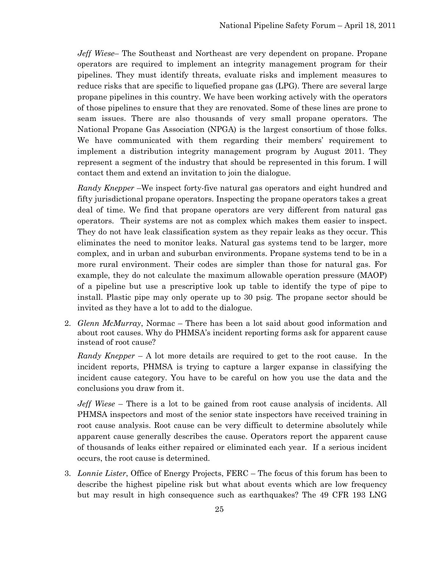*Jeff Wiese*– The Southeast and Northeast are very dependent on propane. Propane operators are required to implement an integrity management program for their pipelines. They must identify threats, evaluate risks and implement measures to reduce risks that are specific to liquefied propane gas (LPG). There are several large propane pipelines in this country. We have been working actively with the operators of those pipelines to ensure that they are renovated. Some of these lines are prone to seam issues. There are also thousands of very small propane operators. The National Propane Gas Association (NPGA) is the largest consortium of those folks. We have communicated with them regarding their members' requirement to implement a distribution integrity management program by August 2011. They represent a segment of the industry that should be represented in this forum. I will contact them and extend an invitation to join the dialogue.

*Randy Knepper* –We inspect forty-five natural gas operators and eight hundred and fifty jurisdictional propane operators. Inspecting the propane operators takes a great deal of time. We find that propane operators are very different from natural gas operators. Their systems are not as complex which makes them easier to inspect. They do not have leak classification system as they repair leaks as they occur. This eliminates the need to monitor leaks. Natural gas systems tend to be larger, more complex, and in urban and suburban environments. Propane systems tend to be in a more rural environment. Their codes are simpler than those for natural gas. For example, they do not calculate the maximum allowable operation pressure (MAOP) of a pipeline but use a prescriptive look up table to identify the type of pipe to install. Plastic pipe may only operate up to 30 psig. The propane sector should be invited as they have a lot to add to the dialogue.

2. *Glenn McMurray*, Normac – There has been a lot said about good information and about root causes. Why do PHMSA's incident reporting forms ask for apparent cause instead of root cause?

*Randy Knepper* – A lot more details are required to get to the root cause. In the incident reports, PHMSA is trying to capture a larger expanse in classifying the incident cause category. You have to be careful on how you use the data and the conclusions you draw from it.

*Jeff Wiese* – There is a lot to be gained from root cause analysis of incidents. All PHMSA inspectors and most of the senior state inspectors have received training in root cause analysis. Root cause can be very difficult to determine absolutely while apparent cause generally describes the cause. Operators report the apparent cause of thousands of leaks either repaired or eliminated each year. If a serious incident occurs, the root cause is determined.

3. *Lonnie Lister*, Office of Energy Projects, FERC – The focus of this forum has been to describe the highest pipeline risk but what about events which are low frequency but may result in high consequence such as earthquakes? The 49 CFR 193 LNG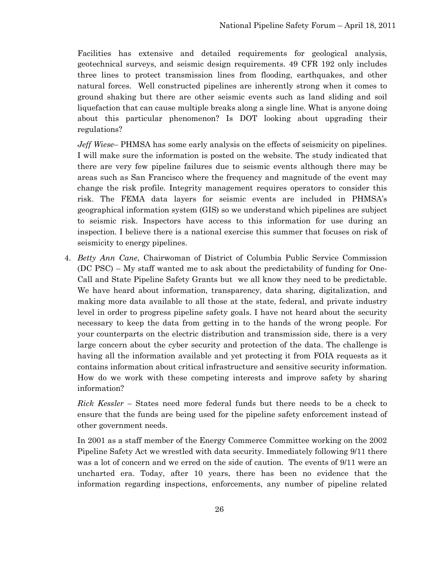Facilities has extensive and detailed requirements for geological analysis, geotechnical surveys, and seismic design requirements. 49 CFR 192 only includes three lines to protect transmission lines from flooding, earthquakes, and other natural forces. Well constructed pipelines are inherently strong when it comes to ground shaking but there are other seismic events such as land sliding and soil liquefaction that can cause multiple breaks along a single line. What is anyone doing about this particular phenomenon? Is DOT looking about upgrading their regulations?

*Jeff Wiese*– PHMSA has some early analysis on the effects of seismicity on pipelines. I will make sure the information is posted on the website. The study indicated that there are very few pipeline failures due to seismic events although there may be areas such as San Francisco where the frequency and magnitude of the event may change the risk profile. Integrity management requires operators to consider this risk. The FEMA data layers for seismic events are included in PHMSA's geographical information system (GIS) so we understand which pipelines are subject to seismic risk. Inspectors have access to this information for use during an inspection. I believe there is a national exercise this summer that focuses on risk of seismicity to energy pipelines.

4. *Betty Ann Cane*, Chairwoman of District of Columbia Public Service Commission (DC PSC) – My staff wanted me to ask about the predictability of funding for One-Call and State Pipeline Safety Grants but we all know they need to be predictable. We have heard about information, transparency, data sharing, digitalization, and making more data available to all those at the state, federal, and private industry level in order to progress pipeline safety goals. I have not heard about the security necessary to keep the data from getting in to the hands of the wrong people. For your counterparts on the electric distribution and transmission side, there is a very large concern about the cyber security and protection of the data. The challenge is having all the information available and yet protecting it from FOIA requests as it contains information about critical infrastructure and sensitive security information. How do we work with these competing interests and improve safety by sharing information?

*Rick Kessler –* States need more federal funds but there needs to be a check to ensure that the funds are being used for the pipeline safety enforcement instead of other government needs.

In 2001 as a staff member of the Energy Commerce Committee working on the 2002 Pipeline Safety Act we wrestled with data security. Immediately following 9/11 there was a lot of concern and we erred on the side of caution. The events of 9/11 were an uncharted era. Today, after 10 years, there has been no evidence that the information regarding inspections, enforcements, any number of pipeline related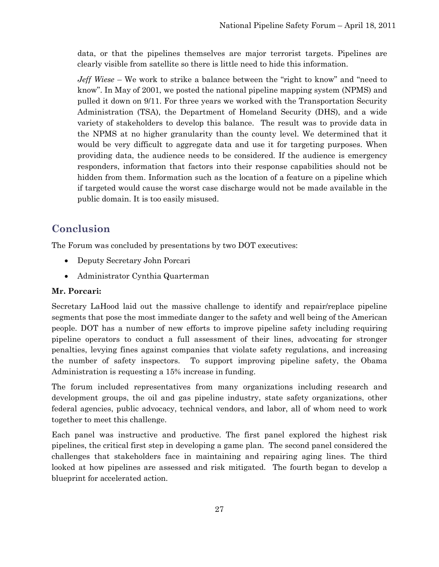data, or that the pipelines themselves are major terrorist targets. Pipelines are clearly visible from satellite so there is little need to hide this information.

*Jeff Wiese* – We work to strike a balance between the "right to know" and "need to know". In May of 2001, we posted the national pipeline mapping system (NPMS) and pulled it down on 9/11. For three years we worked with the Transportation Security Administration (TSA), the Department of Homeland Security (DHS), and a wide variety of stakeholders to develop this balance. The result was to provide data in the NPMS at no higher granularity than the county level. We determined that it would be very difficult to aggregate data and use it for targeting purposes. When providing data, the audience needs to be considered. If the audience is emergency responders, information that factors into their response capabilities should not be hidden from them. Information such as the location of a feature on a pipeline which if targeted would cause the worst case discharge would not be made available in the public domain. It is too easily misused.

## <span id="page-30-0"></span>**Conclusion**

The Forum was concluded by presentations by two DOT executives:

- Deputy Secretary John Porcari
- Administrator Cynthia Quarterman

#### **Mr. Porcari:**

Secretary LaHood laid out the massive challenge to identify and repair/replace pipeline segments that pose the most immediate danger to the safety and well being of the American people. DOT has a number of new efforts to improve pipeline safety including requiring pipeline operators to conduct a full assessment of their lines, advocating for stronger penalties, levying fines against companies that violate safety regulations, and increasing the number of safety inspectors. To support improving pipeline safety, the Obama Administration is requesting a 15% increase in funding.

The forum included representatives from many organizations including research and development groups, the oil and gas pipeline industry, state safety organizations, other federal agencies, public advocacy, technical vendors, and labor, all of whom need to work together to meet this challenge.

Each panel was instructive and productive. The first panel explored the highest risk pipelines, the critical first step in developing a game plan. The second panel considered the challenges that stakeholders face in maintaining and repairing aging lines. The third looked at how pipelines are assessed and risk mitigated. The fourth began to develop a blueprint for accelerated action.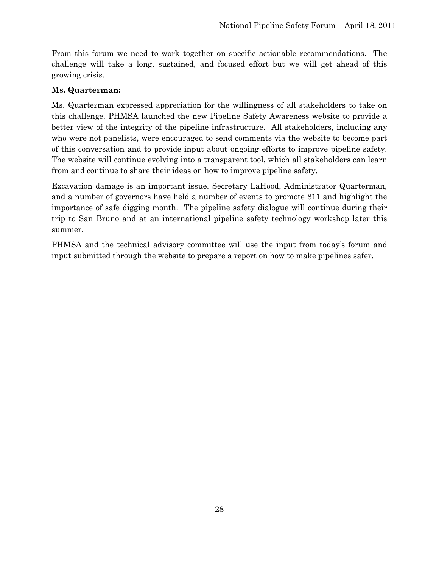From this forum we need to work together on specific actionable recommendations. The challenge will take a long, sustained, and focused effort but we will get ahead of this growing crisis.

#### **Ms. Quarterman:**

Ms. Quarterman expressed appreciation for the willingness of all stakeholders to take on this challenge. PHMSA launched the new Pipeline Safety Awareness website to provide a better view of the integrity of the pipeline infrastructure. All stakeholders, including any who were not panelists, were encouraged to send comments via the website to become part of this conversation and to provide input about ongoing efforts to improve pipeline safety. The website will continue evolving into a transparent tool, which all stakeholders can learn from and continue to share their ideas on how to improve pipeline safety.

Excavation damage is an important issue. Secretary LaHood, Administrator Quarterman, and a number of governors have held a number of events to promote 811 and highlight the importance of safe digging month. The pipeline safety dialogue will continue during their trip to San Bruno and at an international pipeline safety technology workshop later this summer.

PHMSA and the technical advisory committee will use the input from today's forum and input submitted through the website to prepare a report on how to make pipelines safer.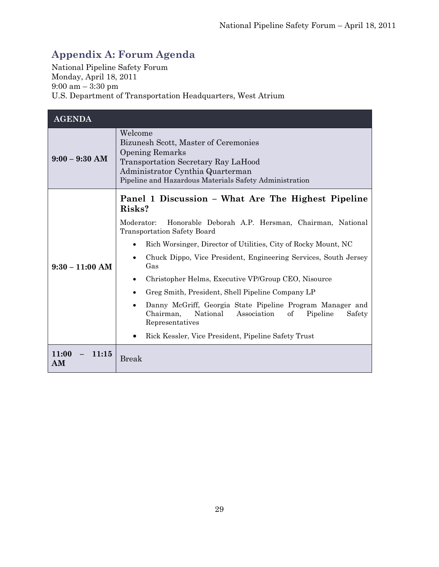# <span id="page-32-0"></span>**Appendix A: Forum Agenda**

National Pipeline Safety Forum Monday, April 18, 2011 9:00 am – 3:30 pm U.S. Department of Transportation Headquarters, West Atrium

| <b>AGENDA</b>        |                                                                                                                                                                                                                                                                                                                                                                                                                                                                                                                                                                                                                                                                                              |  |
|----------------------|----------------------------------------------------------------------------------------------------------------------------------------------------------------------------------------------------------------------------------------------------------------------------------------------------------------------------------------------------------------------------------------------------------------------------------------------------------------------------------------------------------------------------------------------------------------------------------------------------------------------------------------------------------------------------------------------|--|
| $9:00 - 9:30$ AM     | Welcome<br>Bizunesh Scott, Master of Ceremonies<br><b>Opening Remarks</b><br>Transportation Secretary Ray LaHood<br>Administrator Cynthia Quarterman<br>Pipeline and Hazardous Materials Safety Administration                                                                                                                                                                                                                                                                                                                                                                                                                                                                               |  |
| $9:30 - 11:00$ AM    | Panel 1 Discussion – What Are The Highest Pipeline<br>Risks?<br>Moderator:<br>Honorable Deborah A.P. Hersman, Chairman, National<br><b>Transportation Safety Board</b><br>Rich Worsinger, Director of Utilities, City of Rocky Mount, NC<br>Chuck Dippo, Vice President, Engineering Services, South Jersey<br>$\bullet$<br>Gas<br>Christopher Helms, Executive VP/Group CEO, Nisource<br>$\bullet$<br>Greg Smith, President, Shell Pipeline Company LP<br>$\bullet$<br>Danny McGriff, Georgia State Pipeline Program Manager and<br>$\bullet$<br>Chairman,<br>National<br>Association<br>of<br>Pipeline<br>Safety<br>Representatives<br>Rick Kessler, Vice President, Pipeline Safety Trust |  |
| 11:00<br>11:15<br>AM | <b>Break</b>                                                                                                                                                                                                                                                                                                                                                                                                                                                                                                                                                                                                                                                                                 |  |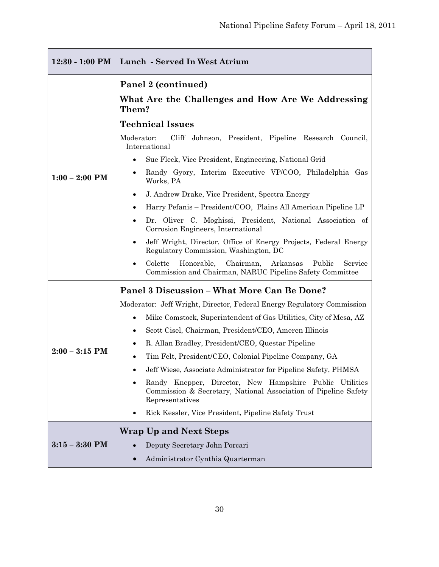| Panel 2 (continued)<br>What Are the Challenges and How Are We Addressing<br>Them?<br><b>Technical Issues</b><br>Moderator:<br>Cliff Johnson, President, Pipeline Research Council,<br>International<br>Sue Fleck, Vice President, Engineering, National Grid<br>٠<br>Randy Gyory, Interim Executive VP/COO, Philadelphia Gas<br>$1:00 - 2:00$ PM<br>Works, PA<br>J. Andrew Drake, Vice President, Spectra Energy<br>Harry Pefanis – President/COO, Plains All American Pipeline LP<br>٠<br>Dr. Oliver C. Moghissi, President, National Association of<br>٠<br>Corrosion Engineers, International<br>Jeff Wright, Director, Office of Energy Projects, Federal Energy<br>Regulatory Commission, Washington, DC<br>Colette<br>Chairman,<br>Arkansas<br>Public<br>Honorable,<br>Service<br>Commission and Chairman, NARUC Pipeline Safety Committee<br><b>Panel 3 Discussion – What More Can Be Done?</b><br>Moderator: Jeff Wright, Director, Federal Energy Regulatory Commission<br>Mike Comstock, Superintendent of Gas Utilities, City of Mesa, AZ<br>$\bullet$<br>Scott Cisel, Chairman, President/CEO, Ameren Illinois<br>$\bullet$<br>R. Allan Bradley, President/CEO, Questar Pipeline<br>$\bullet$<br>$2:00 - 3:15$ PM<br>Tim Felt, President/CEO, Colonial Pipeline Company, GA<br>Jeff Wiese, Associate Administrator for Pipeline Safety, PHMSA<br>Randy Knepper, Director, New Hampshire Public<br>Utilities<br>Commission & Secretary, National Association of Pipeline Safety<br>Representatives<br>Rick Kessler, Vice President, Pipeline Safety Trust<br><b>Wrap Up and Next Steps</b><br>$3:15 - 3:30$ PM<br>Deputy Secretary John Porcari | $12:30 - 1:00$ PM | Lunch - Served In West Atrium    |  |  |  |
|------------------------------------------------------------------------------------------------------------------------------------------------------------------------------------------------------------------------------------------------------------------------------------------------------------------------------------------------------------------------------------------------------------------------------------------------------------------------------------------------------------------------------------------------------------------------------------------------------------------------------------------------------------------------------------------------------------------------------------------------------------------------------------------------------------------------------------------------------------------------------------------------------------------------------------------------------------------------------------------------------------------------------------------------------------------------------------------------------------------------------------------------------------------------------------------------------------------------------------------------------------------------------------------------------------------------------------------------------------------------------------------------------------------------------------------------------------------------------------------------------------------------------------------------------------------------------------------------------------------------------------------------------------|-------------------|----------------------------------|--|--|--|
|                                                                                                                                                                                                                                                                                                                                                                                                                                                                                                                                                                                                                                                                                                                                                                                                                                                                                                                                                                                                                                                                                                                                                                                                                                                                                                                                                                                                                                                                                                                                                                                                                                                            |                   |                                  |  |  |  |
|                                                                                                                                                                                                                                                                                                                                                                                                                                                                                                                                                                                                                                                                                                                                                                                                                                                                                                                                                                                                                                                                                                                                                                                                                                                                                                                                                                                                                                                                                                                                                                                                                                                            |                   |                                  |  |  |  |
|                                                                                                                                                                                                                                                                                                                                                                                                                                                                                                                                                                                                                                                                                                                                                                                                                                                                                                                                                                                                                                                                                                                                                                                                                                                                                                                                                                                                                                                                                                                                                                                                                                                            |                   |                                  |  |  |  |
|                                                                                                                                                                                                                                                                                                                                                                                                                                                                                                                                                                                                                                                                                                                                                                                                                                                                                                                                                                                                                                                                                                                                                                                                                                                                                                                                                                                                                                                                                                                                                                                                                                                            |                   |                                  |  |  |  |
|                                                                                                                                                                                                                                                                                                                                                                                                                                                                                                                                                                                                                                                                                                                                                                                                                                                                                                                                                                                                                                                                                                                                                                                                                                                                                                                                                                                                                                                                                                                                                                                                                                                            |                   |                                  |  |  |  |
|                                                                                                                                                                                                                                                                                                                                                                                                                                                                                                                                                                                                                                                                                                                                                                                                                                                                                                                                                                                                                                                                                                                                                                                                                                                                                                                                                                                                                                                                                                                                                                                                                                                            |                   |                                  |  |  |  |
|                                                                                                                                                                                                                                                                                                                                                                                                                                                                                                                                                                                                                                                                                                                                                                                                                                                                                                                                                                                                                                                                                                                                                                                                                                                                                                                                                                                                                                                                                                                                                                                                                                                            |                   |                                  |  |  |  |
|                                                                                                                                                                                                                                                                                                                                                                                                                                                                                                                                                                                                                                                                                                                                                                                                                                                                                                                                                                                                                                                                                                                                                                                                                                                                                                                                                                                                                                                                                                                                                                                                                                                            |                   |                                  |  |  |  |
|                                                                                                                                                                                                                                                                                                                                                                                                                                                                                                                                                                                                                                                                                                                                                                                                                                                                                                                                                                                                                                                                                                                                                                                                                                                                                                                                                                                                                                                                                                                                                                                                                                                            |                   |                                  |  |  |  |
|                                                                                                                                                                                                                                                                                                                                                                                                                                                                                                                                                                                                                                                                                                                                                                                                                                                                                                                                                                                                                                                                                                                                                                                                                                                                                                                                                                                                                                                                                                                                                                                                                                                            |                   |                                  |  |  |  |
|                                                                                                                                                                                                                                                                                                                                                                                                                                                                                                                                                                                                                                                                                                                                                                                                                                                                                                                                                                                                                                                                                                                                                                                                                                                                                                                                                                                                                                                                                                                                                                                                                                                            |                   |                                  |  |  |  |
|                                                                                                                                                                                                                                                                                                                                                                                                                                                                                                                                                                                                                                                                                                                                                                                                                                                                                                                                                                                                                                                                                                                                                                                                                                                                                                                                                                                                                                                                                                                                                                                                                                                            |                   |                                  |  |  |  |
|                                                                                                                                                                                                                                                                                                                                                                                                                                                                                                                                                                                                                                                                                                                                                                                                                                                                                                                                                                                                                                                                                                                                                                                                                                                                                                                                                                                                                                                                                                                                                                                                                                                            |                   |                                  |  |  |  |
|                                                                                                                                                                                                                                                                                                                                                                                                                                                                                                                                                                                                                                                                                                                                                                                                                                                                                                                                                                                                                                                                                                                                                                                                                                                                                                                                                                                                                                                                                                                                                                                                                                                            |                   |                                  |  |  |  |
|                                                                                                                                                                                                                                                                                                                                                                                                                                                                                                                                                                                                                                                                                                                                                                                                                                                                                                                                                                                                                                                                                                                                                                                                                                                                                                                                                                                                                                                                                                                                                                                                                                                            |                   |                                  |  |  |  |
|                                                                                                                                                                                                                                                                                                                                                                                                                                                                                                                                                                                                                                                                                                                                                                                                                                                                                                                                                                                                                                                                                                                                                                                                                                                                                                                                                                                                                                                                                                                                                                                                                                                            |                   |                                  |  |  |  |
|                                                                                                                                                                                                                                                                                                                                                                                                                                                                                                                                                                                                                                                                                                                                                                                                                                                                                                                                                                                                                                                                                                                                                                                                                                                                                                                                                                                                                                                                                                                                                                                                                                                            |                   |                                  |  |  |  |
|                                                                                                                                                                                                                                                                                                                                                                                                                                                                                                                                                                                                                                                                                                                                                                                                                                                                                                                                                                                                                                                                                                                                                                                                                                                                                                                                                                                                                                                                                                                                                                                                                                                            |                   |                                  |  |  |  |
|                                                                                                                                                                                                                                                                                                                                                                                                                                                                                                                                                                                                                                                                                                                                                                                                                                                                                                                                                                                                                                                                                                                                                                                                                                                                                                                                                                                                                                                                                                                                                                                                                                                            |                   |                                  |  |  |  |
|                                                                                                                                                                                                                                                                                                                                                                                                                                                                                                                                                                                                                                                                                                                                                                                                                                                                                                                                                                                                                                                                                                                                                                                                                                                                                                                                                                                                                                                                                                                                                                                                                                                            |                   |                                  |  |  |  |
|                                                                                                                                                                                                                                                                                                                                                                                                                                                                                                                                                                                                                                                                                                                                                                                                                                                                                                                                                                                                                                                                                                                                                                                                                                                                                                                                                                                                                                                                                                                                                                                                                                                            |                   |                                  |  |  |  |
| $\bullet$                                                                                                                                                                                                                                                                                                                                                                                                                                                                                                                                                                                                                                                                                                                                                                                                                                                                                                                                                                                                                                                                                                                                                                                                                                                                                                                                                                                                                                                                                                                                                                                                                                                  |                   | Administrator Cynthia Quarterman |  |  |  |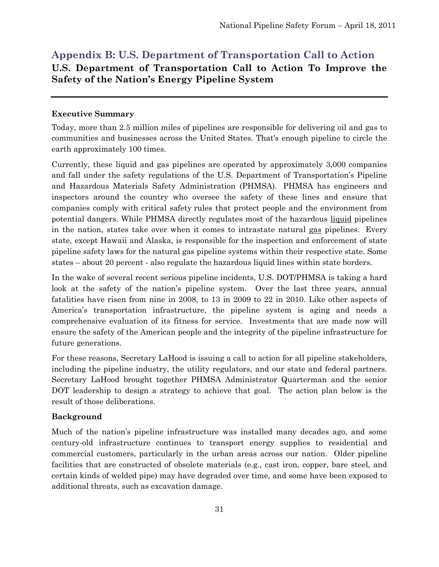# <span id="page-34-0"></span>**Appendix B: U.S. Department of Transportation Call to Action**

### **U.S. Department of Transportation Call to Action To Improve the Safety of the Nation's Energy Pipeline System**

#### **Executive Summary**

Today, more than 2.5 million miles of pipelines are responsible for delivering oil and gas to communities and businesses across the United States. That's enough pipeline to circle the earth approximately 100 times.

Currently, these liquid and gas pipelines are operated by approximately 3,000 companies and fall under the safety regulations of the U.S. Department of Transportation's Pipeline and Hazardous Materials Safety Administration (PHMSA). PHMSA has engineers and inspectors around the country who oversee the safety of these lines and ensure that companies comply with critical safety rules that protect people and the environment from potential dangers. While PHMSA directly regulates most of the hazardous liquid pipelines in the nation, states take over when it comes to intrastate natural gas pipelines. Every state, except Hawaii and Alaska, is responsible for the inspection and enforcement of state pipeline safety laws for the natural gas pipeline systems within their respective state. Some states – about 20 percent - also regulate the hazardous liquid lines within state borders.

In the wake of several recent serious pipeline incidents, U.S. DOT/PHMSA is taking a hard look at the safety of the nation's pipeline system. Over the last three years, annual fatalities have risen from nine in 2008, to 13 in 2009 to 22 in 2010. Like other aspects of America's transportation infrastructure, the pipeline system is aging and needs a comprehensive evaluation of its fitness for service. Investments that are made now will ensure the safety of the American people and the integrity of the pipeline infrastructure for future generations.

For these reasons, Secretary LaHood is issuing a call to action for all pipeline stakeholders, including the pipeline industry, the utility regulators, and our state and federal partners. Secretary LaHood brought together PHMSA Administrator Quarterman and the senior DOT leadership to design a strategy to achieve that goal. The action plan below is the result of those deliberations.

#### **Background**

Much of the nation's pipeline infrastructure was installed many decades ago, and some century-old infrastructure continues to transport energy supplies to residential and commercial customers, particularly in the urban areas across our nation. Older pipeline facilities that are constructed of obsolete materials (e.g., cast iron, copper, bare steel, and certain kinds of welded pipe) may have degraded over time, and some have been exposed to additional threats, such as excavation damage.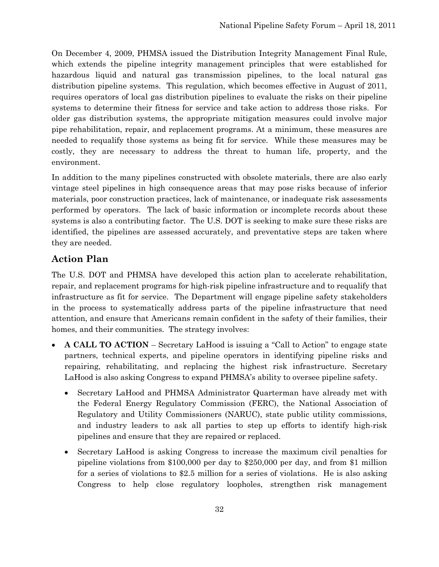On December 4, 2009, PHMSA issued the Distribution Integrity Management Final Rule, which extends the pipeline integrity management principles that were established for hazardous liquid and natural gas transmission pipelines, to the local natural gas distribution pipeline systems. This regulation, which becomes effective in August of 2011, requires operators of local gas distribution pipelines to evaluate the risks on their pipeline systems to determine their fitness for service and take action to address those risks. For older gas distribution systems, the appropriate mitigation measures could involve major pipe rehabilitation, repair, and replacement programs. At a minimum, these measures are needed to requalify those systems as being fit for service. While these measures may be costly, they are necessary to address the threat to human life, property, and the environment.

In addition to the many pipelines constructed with obsolete materials, there are also early vintage steel pipelines in high consequence areas that may pose risks because of inferior materials, poor construction practices, lack of maintenance, or inadequate risk assessments performed by operators. The lack of basic information or incomplete records about these systems is also a contributing factor. The U.S. DOT is seeking to make sure these risks are identified, the pipelines are assessed accurately, and preventative steps are taken where they are needed.

## **Action Plan**

The U.S. DOT and PHMSA have developed this action plan to accelerate rehabilitation, repair, and replacement programs for high-risk pipeline infrastructure and to requalify that infrastructure as fit for service. The Department will engage pipeline safety stakeholders in the process to systematically address parts of the pipeline infrastructure that need attention, and ensure that Americans remain confident in the safety of their families, their homes, and their communities. The strategy involves:

- **A CALL TO ACTION** Secretary LaHood is issuing a "Call to Action" to engage state partners, technical experts, and pipeline operators in identifying pipeline risks and repairing, rehabilitating, and replacing the highest risk infrastructure. Secretary LaHood is also asking Congress to expand PHMSA's ability to oversee pipeline safety.
	- Secretary LaHood and PHMSA Administrator Quarterman have already met with the Federal Energy Regulatory Commission (FERC), the National Association of Regulatory and Utility Commissioners (NARUC), state public utility commissions, and industry leaders to ask all parties to step up efforts to identify high-risk pipelines and ensure that they are repaired or replaced.
	- Secretary LaHood is asking Congress to increase the maximum civil penalties for pipeline violations from \$100,000 per day to \$250,000 per day, and from \$1 million for a series of violations to \$2.5 million for a series of violations. He is also asking Congress to help close regulatory loopholes, strengthen risk management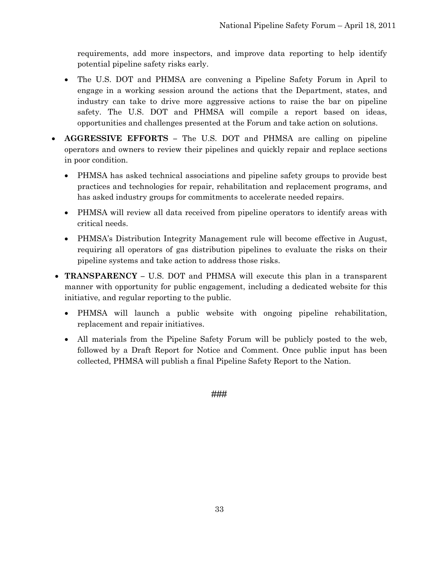requirements, add more inspectors, and improve data reporting to help identify potential pipeline safety risks early.

- The U.S. DOT and PHMSA are convening a Pipeline Safety Forum in April to engage in a working session around the actions that the Department, states, and industry can take to drive more aggressive actions to raise the bar on pipeline safety. The U.S. DOT and PHMSA will compile a report based on ideas, opportunities and challenges presented at the Forum and take action on solutions.
- **AGGRESSIVE EFFORTS –** The U.S. DOT and PHMSA are calling on pipeline operators and owners to review their pipelines and quickly repair and replace sections in poor condition.
	- PHMSA has asked technical associations and pipeline safety groups to provide best practices and technologies for repair, rehabilitation and replacement programs, and has asked industry groups for commitments to accelerate needed repairs.
	- PHMSA will review all data received from pipeline operators to identify areas with critical needs.
	- PHMSA's Distribution Integrity Management rule will become effective in August, requiring all operators of gas distribution pipelines to evaluate the risks on their pipeline systems and take action to address those risks.
- **TRANSPARENCY –** U.S. DOT and PHMSA will execute this plan in a transparent manner with opportunity for public engagement, including a dedicated website for this initiative, and regular reporting to the public.
	- PHMSA will launch a public website with ongoing pipeline rehabilitation, replacement and repair initiatives.
	- All materials from the Pipeline Safety Forum will be publicly posted to the web, followed by a Draft Report for Notice and Comment. Once public input has been collected, PHMSA will publish a final Pipeline Safety Report to the Nation.

###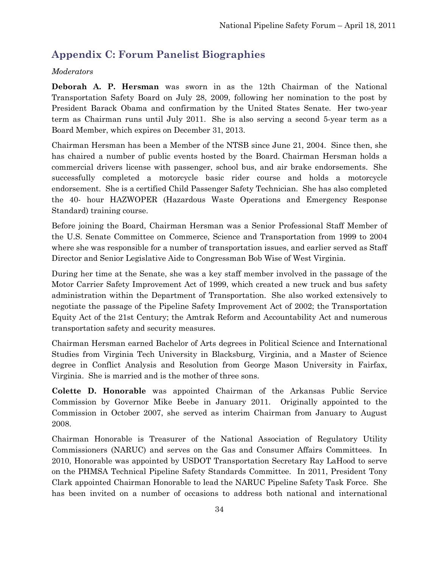## <span id="page-37-0"></span>**Appendix C: Forum Panelist Biographies**

#### *Moderators*

**Deborah A. P. Hersman** was sworn in as the 12th Chairman of the National Transportation Safety Board on July 28, 2009, following her nomination to the post by President Barack Obama and confirmation by the United States Senate. Her two-year term as Chairman runs until July 2011. She is also serving a second 5-year term as a Board Member, which expires on December 31, 2013.

Chairman Hersman has been a Member of the NTSB since June 21, 2004. Since then, she has chaired a number of public events hosted by the Board. Chairman Hersman holds a commercial drivers license with passenger, school bus, and air brake endorsements. She successfully completed a motorcycle basic rider course and holds a motorcycle endorsement. She is a certified Child Passenger Safety Technician. She has also completed the 40- hour HAZWOPER (Hazardous Waste Operations and Emergency Response Standard) training course.

Before joining the Board, Chairman Hersman was a Senior Professional Staff Member of the U.S. Senate Committee on Commerce, Science and Transportation from 1999 to 2004 where she was responsible for a number of transportation issues, and earlier served as Staff Director and Senior Legislative Aide to Congressman Bob Wise of West Virginia.

During her time at the Senate, she was a key staff member involved in the passage of the Motor Carrier Safety Improvement Act of 1999, which created a new truck and bus safety administration within the Department of Transportation. She also worked extensively to negotiate the passage of the Pipeline Safety Improvement Act of 2002; the Transportation Equity Act of the 21st Century; the Amtrak Reform and Accountability Act and numerous transportation safety and security measures.

Chairman Hersman earned Bachelor of Arts degrees in Political Science and International Studies from Virginia Tech University in Blacksburg, Virginia, and a Master of Science degree in Conflict Analysis and Resolution from George Mason University in Fairfax, Virginia. She is married and is the mother of three sons.

**Colette D. Honorable** was appointed Chairman of the Arkansas Public Service Commission by Governor Mike Beebe in January 2011. Originally appointed to the Commission in October 2007, she served as interim Chairman from January to August 2008.

Chairman Honorable is Treasurer of the National Association of Regulatory Utility Commissioners (NARUC) and serves on the Gas and Consumer Affairs Committees. In 2010, Honorable was appointed by USDOT Transportation Secretary Ray LaHood to serve on the PHMSA Technical Pipeline Safety Standards Committee. In 2011, President Tony Clark appointed Chairman Honorable to lead the NARUC Pipeline Safety Task Force. She has been invited on a number of occasions to address both national and international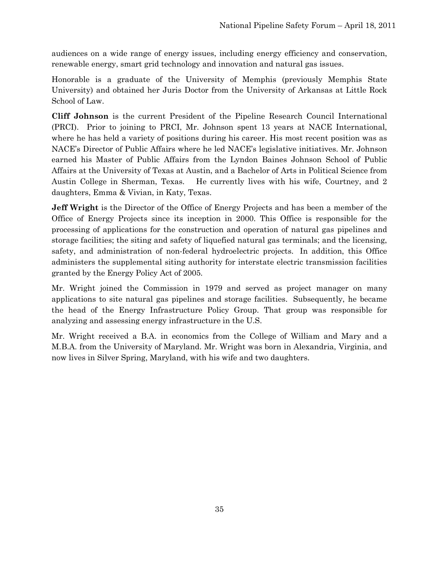audiences on a wide range of energy issues, including energy efficiency and conservation, renewable energy, smart grid technology and innovation and natural gas issues.

Honorable is a graduate of the University of Memphis (previously Memphis State University) and obtained her Juris Doctor from the University of Arkansas at Little Rock School of Law.

**Cliff Johnson** is the current President of the Pipeline Research Council International (PRCI). Prior to joining to PRCI, Mr. Johnson spent 13 years at NACE International, where he has held a variety of positions during his career. His most recent position was as NACE's Director of Public Affairs where he led NACE's legislative initiatives. Mr. Johnson earned his Master of Public Affairs from the Lyndon Baines Johnson School of Public Affairs at the University of Texas at Austin, and a Bachelor of Arts in Political Science from Austin College in Sherman, Texas. He currently lives with his wife, Courtney, and 2 daughters, Emma & Vivian, in Katy, Texas.

**Jeff Wright** is the Director of the Office of Energy Projects and has been a member of the Office of Energy Projects since its inception in 2000. This Office is responsible for the processing of applications for the construction and operation of natural gas pipelines and storage facilities; the siting and safety of liquefied natural gas terminals; and the licensing, safety, and administration of non-federal hydroelectric projects. In addition, this Office administers the supplemental siting authority for interstate electric transmission facilities granted by the Energy Policy Act of 2005.

Mr. Wright joined the Commission in 1979 and served as project manager on many applications to site natural gas pipelines and storage facilities. Subsequently, he became the head of the Energy Infrastructure Policy Group. That group was responsible for analyzing and assessing energy infrastructure in the U.S.

Mr. Wright received a B.A. in economics from the College of William and Mary and a M.B.A. from the University of Maryland. Mr. Wright was born in Alexandria, Virginia, and now lives in Silver Spring, Maryland, with his wife and two daughters.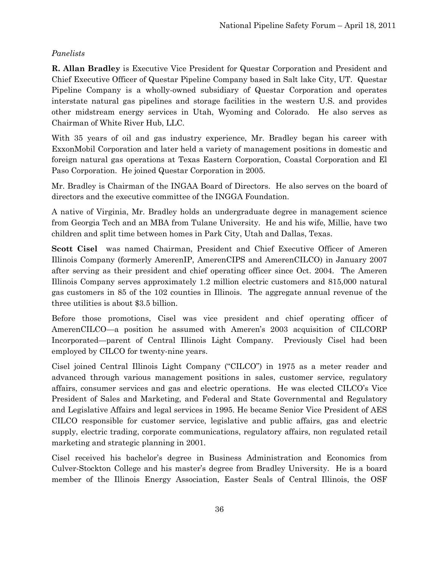#### *Panelists*

**R. Allan Bradley** is Executive Vice President for Questar Corporation and President and Chief Executive Officer of Questar Pipeline Company based in Salt lake City, UT. Questar Pipeline Company is a wholly-owned subsidiary of Questar Corporation and operates interstate natural gas pipelines and storage facilities in the western U.S. and provides other midstream energy services in Utah, Wyoming and Colorado. He also serves as Chairman of White River Hub, LLC.

With 35 years of oil and gas industry experience, Mr. Bradley began his career with ExxonMobil Corporation and later held a variety of management positions in domestic and foreign natural gas operations at Texas Eastern Corporation, Coastal Corporation and El Paso Corporation. He joined Questar Corporation in 2005.

Mr. Bradley is Chairman of the INGAA Board of Directors. He also serves on the board of directors and the executive committee of the INGGA Foundation.

A native of Virginia, Mr. Bradley holds an undergraduate degree in management science from Georgia Tech and an MBA from Tulane University. He and his wife, Millie, have two children and split time between homes in Park City, Utah and Dallas, Texas.

**Scott Cisel** was named Chairman, President and Chief Executive Officer of Ameren Illinois Company (formerly AmerenIP, AmerenCIPS and AmerenCILCO) in January 2007 after serving as their president and chief operating officer since Oct. 2004. The Ameren Illinois Company serves approximately 1.2 million electric customers and 815,000 natural gas customers in 85 of the 102 counties in Illinois. The aggregate annual revenue of the three utilities is about \$3.5 billion.

Before those promotions, Cisel was vice president and chief operating officer of AmerenCILCO—a position he assumed with Ameren's 2003 acquisition of CILCORP Incorporated—parent of Central Illinois Light Company. Previously Cisel had been employed by CILCO for twenty-nine years.

Cisel joined Central Illinois Light Company ("CILCO") in 1975 as a meter reader and advanced through various management positions in sales, customer service, regulatory affairs, consumer services and gas and electric operations. He was elected CILCO's Vice President of Sales and Marketing, and Federal and State Governmental and Regulatory and Legislative Affairs and legal services in 1995. He became Senior Vice President of AES CILCO responsible for customer service, legislative and public affairs, gas and electric supply, electric trading, corporate communications, regulatory affairs, non regulated retail marketing and strategic planning in 2001.

Cisel received his bachelor's degree in Business Administration and Economics from Culver-Stockton College and his master's degree from Bradley University. He is a board member of the Illinois Energy Association, Easter Seals of Central Illinois, the OSF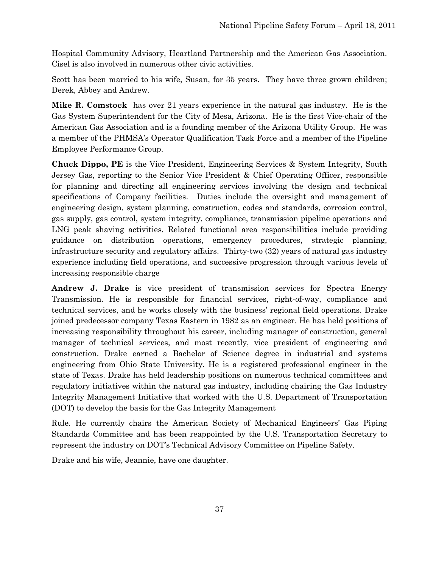Hospital Community Advisory, Heartland Partnership and the American Gas Association. Cisel is also involved in numerous other civic activities.

Scott has been married to his wife, Susan, for 35 years. They have three grown children; Derek, Abbey and Andrew.

**Mike R. Comstock** has over 21 years experience in the natural gas industry. He is the Gas System Superintendent for the City of Mesa, Arizona. He is the first Vice-chair of the American Gas Association and is a founding member of the Arizona Utility Group. He was a member of the PHMSA's Operator Qualification Task Force and a member of the Pipeline Employee Performance Group.

**Chuck Dippo, PE** is the Vice President, Engineering Services & System Integrity, South Jersey Gas, reporting to the Senior Vice President & Chief Operating Officer, responsible for planning and directing all engineering services involving the design and technical specifications of Company facilities. Duties include the oversight and management of engineering design, system planning, construction, codes and standards, corrosion control, gas supply, gas control, system integrity, compliance, transmission pipeline operations and LNG peak shaving activities. Related functional area responsibilities include providing guidance on distribution operations, emergency procedures, strategic planning, infrastructure security and regulatory affairs. Thirty-two (32) years of natural gas industry experience including field operations, and successive progression through various levels of increasing responsible charge

**Andrew J. Drake** is vice president of transmission services for Spectra Energy Transmission. He is responsible for financial services, right-of-way, compliance and technical services, and he works closely with the business' regional field operations. Drake joined predecessor company Texas Eastern in 1982 as an engineer. He has held positions of increasing responsibility throughout his career, including manager of construction, general manager of technical services, and most recently, vice president of engineering and construction. Drake earned a Bachelor of Science degree in industrial and systems engineering from Ohio State University. He is a registered professional engineer in the state of Texas. Drake has held leadership positions on numerous technical committees and regulatory initiatives within the natural gas industry, including chairing the Gas Industry Integrity Management Initiative that worked with the U.S. Department of Transportation (DOT) to develop the basis for the Gas Integrity Management

Rule. He currently chairs the American Society of Mechanical Engineers' Gas Piping Standards Committee and has been reappointed by the U.S. Transportation Secretary to represent the industry on DOT's Technical Advisory Committee on Pipeline Safety.

Drake and his wife, Jeannie, have one daughter.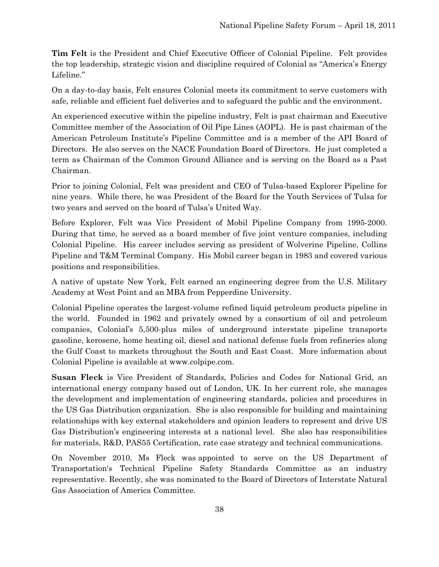**Tim Felt** is the President and Chief Executive Officer of Colonial Pipeline. Felt provides the top leadership, strategic vision and discipline required of Colonial as "America's Energy Lifeline."

On a day-to-day basis, Felt ensures Colonial meets its commitment to serve customers with safe, reliable and efficient fuel deliveries and to safeguard the public and the environment.

An experienced executive within the pipeline industry, Felt is past chairman and Executive Committee member of the Association of Oil Pipe Lines (AOPL). He is past chairman of the American Petroleum Institute's Pipeline Committee and is a member of the API Board of Directors. He also serves on the NACE Foundation Board of Directors. He just completed a term as Chairman of the Common Ground Alliance and is serving on the Board as a Past Chairman.

Prior to joining Colonial, Felt was president and CEO of Tulsa-based Explorer Pipeline for nine years. While there, he was President of the Board for the Youth Services of Tulsa for two years and served on the board of Tulsa's United Way.

Before Explorer, Felt was Vice President of Mobil Pipeline Company from 1995-2000. During that time, he served as a board member of five joint venture companies, including Colonial Pipeline. His career includes serving as president of Wolverine Pipeline, Collins Pipeline and T&M Terminal Company. His Mobil career began in 1983 and covered various positions and responsibilities.

A native of upstate New York, Felt earned an engineering degree from the U.S. Military Academy at West Point and an MBA from Pepperdine University.

Colonial Pipeline operates the largest-volume refined liquid petroleum products pipeline in the world. Founded in 1962 and privately owned by a consortium of oil and petroleum companies, Colonial's 5,500-plus miles of underground interstate pipeline transports gasoline, kerosene, home heating oil, diesel and national defense fuels from refineries along the Gulf Coast to markets throughout the South and East Coast. More information about Colonial Pipeline is available at [www.colpipe.com.](http://www.colpipe.com/)

**Susan Fleck** is Vice President of Standards, Policies and Codes for National Grid, an international energy company based out of London, UK. In her current role, she manages the development and implementation of engineering standards, policies and procedures in the US Gas Distribution organization. She is also responsible for building and maintaining relationships with key external stakeholders and opinion leaders to represent and drive US Gas Distribution's engineering interests at a national level. She also has responsibilities for materials, R&D, PAS55 Certification, rate case strategy and technical communications.

On November 2010, Ms Fleck was appointed to serve on the US Department of Transportation's Technical Pipeline Safety Standards Committee as an industry representative. Recently, she was nominated to the Board of Directors of Interstate Natural Gas Association of America Committee.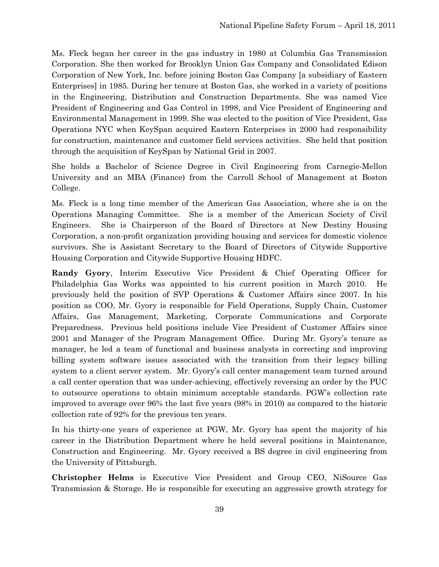Ms. Fleck began her career in the gas industry in 1980 at Columbia Gas Transmission Corporation. She then worked for Brooklyn Union Gas Company and Consolidated Edison Corporation of New York, Inc. before joining Boston Gas Company [a subsidiary of Eastern Enterprises] in 1985. During her tenure at Boston Gas, she worked in a variety of positions in the Engineering, Distribution and Construction Departments. She was named Vice President of Engineering and Gas Control in 1998, and Vice President of Engineering and Environmental Management in 1999. She was elected to the position of Vice President, Gas Operations NYC when KeySpan acquired Eastern Enterprises in 2000 had responsibility for construction, maintenance and customer field services activities. She held that position through the acquisition of KeySpan by National Grid in 2007.

She holds a Bachelor of Science Degree in Civil Engineering from Carnegie-Mellon University and an MBA (Finance) from the Carroll School of Management at Boston College.

Ms. Fleck is a long time member of the American Gas Association, where she is on the Operations Managing Committee. She is a member of the American Society of Civil Engineers. She is Chairperson of the Board of Directors at New Destiny Housing Corporation, a non-profit organization providing housing and services for domestic violence survivors. She is Assistant Secretary to the Board of Directors of Citywide Supportive Housing Corporation and Citywide Supportive Housing HDFC.

**Randy Gyory**, Interim Executive Vice President & Chief Operating Officer for Philadelphia Gas Works was appointed to his current position in March 2010. He previously held the position of SVP Operations & Customer Affairs since 2007. In his position as COO, Mr. Gyory is responsible for Field Operations, Supply Chain, Customer Affairs, Gas Management, Marketing, Corporate Communications and Corporate Preparedness. Previous held positions include Vice President of Customer Affairs since 2001 and Manager of the Program Management Office. During Mr. Gyory's tenure as manager, he led a team of functional and business analysts in correcting and improving billing system software issues associated with the transition from their legacy billing system to a client server system. Mr. Gyory's call center management team turned around a call center operation that was under-achieving, effectively reversing an order by the PUC to outsource operations to obtain minimum acceptable standards. PGW's collection rate improved to average over 96% the last five years (98% in 2010) as compared to the historic collection rate of 92% for the previous ten years.

In his thirty-one years of experience at PGW, Mr. Gyory has spent the majority of his career in the Distribution Department where he held several positions in Maintenance, Construction and Engineering. Mr. Gyory received a BS degree in civil engineering from the University of Pittsburgh.

**Christopher Helms** is Executive Vice President and Group CEO, NiSource Gas Transmission & Storage. He is responsible for executing an aggressive growth strategy for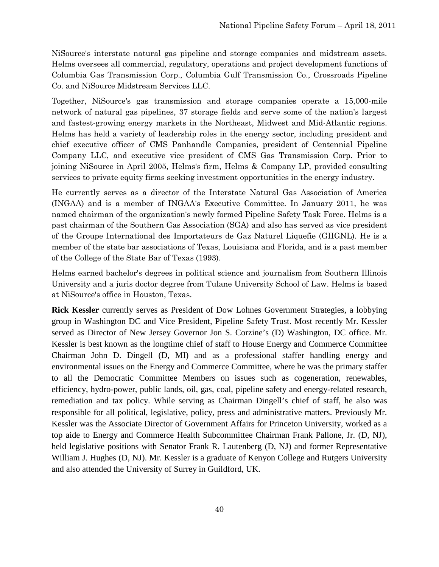NiSource's interstate natural gas pipeline and storage companies and midstream assets. Helms oversees all commercial, regulatory, operations and project development functions of Columbia Gas Transmission Corp., Columbia Gulf Transmission Co., Crossroads Pipeline Co. and NiSource Midstream Services LLC.

Together, NiSource's gas transmission and storage companies operate a 15,000-mile network of natural gas pipelines, 37 storage fields and serve some of the nation's largest and fastest-growing energy markets in the Northeast, Midwest and Mid-Atlantic regions. Helms has held a variety of leadership roles in the energy sector, including president and chief executive officer of CMS Panhandle Companies, president of Centennial Pipeline Company LLC, and executive vice president of CMS Gas Transmission Corp. Prior to joining NiSource in April 2005, Helms's firm, Helms & Company LP, provided consulting services to private equity firms seeking investment opportunities in the energy industry.

He currently serves as a director of the Interstate Natural Gas Association of America (INGAA) and is a member of INGAA's Executive Committee. In January 2011, he was named chairman of the organization's newly formed Pipeline Safety Task Force. Helms is a past chairman of the Southern Gas Association (SGA) and also has served as vice president of the Groupe International des Importateurs de Gaz Naturel Liquefie (GIIGNL). He is a member of the state bar associations of Texas, Louisiana and Florida, and is a past member of the College of the State Bar of Texas (1993).

Helms earned bachelor's degrees in political science and journalism from Southern Illinois University and a juris doctor degree from Tulane University School of Law. Helms is based at NiSource's office in Houston, Texas.

**Rick Kessler** currently serves as President of Dow Lohnes Government Strategies, a lobbying group in Washington DC and Vice President, Pipeline Safety Trust. Most recently Mr. Kessler served as Director of New Jersey Governor Jon S. Corzine's (D) Washington, DC office. Mr. Kessler is best known as the longtime chief of staff to House Energy and Commerce Committee Chairman John D. Dingell (D, MI) and as a professional staffer handling energy and environmental issues on the Energy and Commerce Committee, where he was the primary staffer to all the Democratic Committee Members on issues such as cogeneration, renewables, efficiency, hydro-power, public lands, oil, gas, coal, pipeline safety and energy-related research, remediation and tax policy. While serving as Chairman Dingell's chief of staff, he also was responsible for all political, legislative, policy, press and administrative matters. Previously Mr. Kessler was the Associate Director of Government Affairs for Princeton University, worked as a top aide to Energy and Commerce Health Subcommittee Chairman Frank Pallone, Jr. (D, NJ), held legislative positions with Senator Frank R. Lautenberg (D, NJ) and former Representative William J. Hughes (D, NJ). Mr. Kessler is a graduate of Kenyon College and Rutgers University and also attended the University of Surrey in Guildford, UK.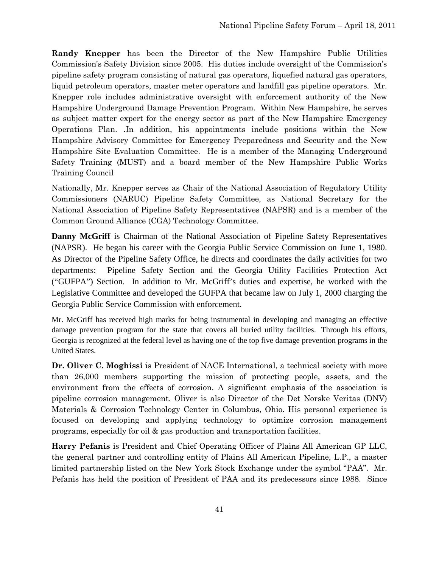**Randy Knepper** has been the Director of the New Hampshire Public Utilities Commission's Safety Division since 2005. His duties include oversight of the Commission's pipeline safety program consisting of natural gas operators, liquefied natural gas operators, liquid petroleum operators, master meter operators and landfill gas pipeline operators. Mr. Knepper role includes administrative oversight with enforcement authority of the New Hampshire Underground Damage Prevention Program. Within New Hampshire, he serves as subject matter expert for the energy sector as part of the New Hampshire Emergency Operations Plan. .In addition, his appointments include positions within the New Hampshire Advisory Committee for Emergency Preparedness and Security and the New Hampshire Site Evaluation Committee. He is a member of the Managing Underground Safety Training (MUST) and a board member of the New Hampshire Public Works Training Council

Nationally, Mr. Knepper serves as Chair of the National Association of Regulatory Utility Commissioners (NARUC) Pipeline Safety Committee, as National Secretary for the National Association of Pipeline Safety Representatives (NAPSR) and is a member of the Common Ground Alliance (CGA) Technology Committee.

**Danny McGriff** is Chairman of the National Association of Pipeline Safety Representatives (NAPSR). He began his career with the Georgia Public Service Commission on June 1, 1980. As Director of the Pipeline Safety Office, he directs and coordinates the daily activities for two departments: Pipeline Safety Section and the Georgia Utility Facilities Protection Act ("GUFPA") Section. In addition to Mr. McGriff's duties and expertise, he worked with the Legislative Committee and developed the GUFPA that became law on July 1, 2000 charging the Georgia Public Service Commission with enforcement.

Mr. McGriff has received high marks for being instrumental in developing and managing an effective damage prevention program for the state that covers all buried utility facilities. Through his efforts, Georgia is recognized at the federal level as having one of the top five damage prevention programs in the United States.

**Dr. Oliver C. Moghissi** is President of NACE International, a technical society with more than 26,000 members supporting the mission of protecting people, assets, and the environment from the effects of corrosion. A significant emphasis of the association is pipeline corrosion management. Oliver is also Director of the Det Norske Veritas (DNV) Materials & Corrosion Technology Center in Columbus, Ohio. His personal experience is focused on developing and applying technology to optimize corrosion management programs, especially for oil & gas production and transportation facilities.

**Harry Pefanis** is President and Chief Operating Officer of Plains All American GP LLC, the general partner and controlling entity of Plains All American Pipeline, L.P., a master limited partnership listed on the New York Stock Exchange under the symbol "PAA". Mr. Pefanis has held the position of President of PAA and its predecessors since 1988. Since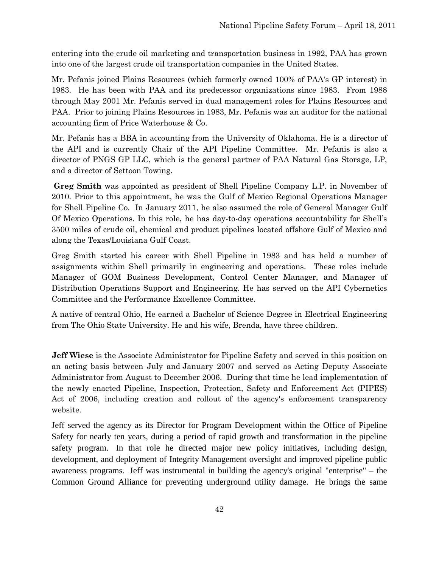entering into the crude oil marketing and transportation business in 1992, PAA has grown into one of the largest crude oil transportation companies in the United States.

Mr. Pefanis joined Plains Resources (which formerly owned 100% of PAA's GP interest) in 1983. He has been with PAA and its predecessor organizations since 1983. From 1988 through May 2001 Mr. Pefanis served in dual management roles for Plains Resources and PAA. Prior to joining Plains Resources in 1983, Mr. Pefanis was an auditor for the national accounting firm of Price Waterhouse & Co.

Mr. Pefanis has a BBA in accounting from the University of Oklahoma. He is a director of the API and is currently Chair of the API Pipeline Committee. Mr. Pefanis is also a director of PNGS GP LLC, which is the general partner of PAA Natural Gas Storage, LP, and a director of Settoon Towing.

**Greg Smith** was appointed as president of Shell Pipeline Company L.P. in November of 2010. Prior to this appointment, he was the Gulf of Mexico Regional Operations Manager for Shell Pipeline Co. In January 2011, he also assumed the role of General Manager Gulf Of Mexico Operations. In this role, he has day-to-day operations accountability for Shell's 3500 miles of crude oil, chemical and product pipelines located offshore Gulf of Mexico and along the Texas/Louisiana Gulf Coast.

Greg Smith started his career with Shell Pipeline in 1983 and has held a number of assignments within Shell primarily in engineering and operations. These roles include Manager of GOM Business Development, Control Center Manager, and Manager of Distribution Operations Support and Engineering. He has served on the API Cybernetics Committee and the Performance Excellence Committee.

A native of central Ohio, He earned a Bachelor of Science Degree in Electrical Engineering from The Ohio State University. He and his wife, Brenda, have three children.

**Jeff Wiese** is the Associate Administrator for Pipeline Safety and served in this position on an acting basis between July and January 2007 and served as Acting Deputy Associate Administrator from August to December 2006. During that time he lead implementation of the newly enacted Pipeline, Inspection, Protection, Safety and Enforcement Act (PIPES) Act of 2006, including creation and rollout of the agency's enforcement transparency website.

Jeff served the agency as its Director for Program Development within the Office of Pipeline Safety for nearly ten years, during a period of rapid growth and transformation in the pipeline safety program. In that role he directed major new policy initiatives, including design, development, and deployment of Integrity Management oversight and improved pipeline public awareness programs. Jeff was instrumental in building the agency's original "enterprise" – the Common Ground Alliance for preventing underground utility damage. He brings the same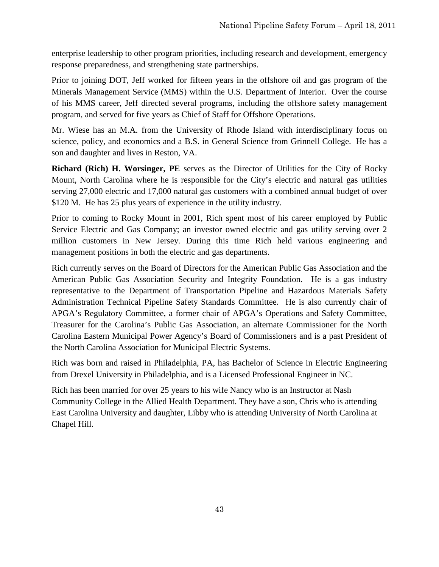enterprise leadership to other program priorities, including research and development, emergency response preparedness, and strengthening state partnerships.

Prior to joining DOT, Jeff worked for fifteen years in the offshore oil and gas program of the Minerals Management Service (MMS) within the U.S. Department of Interior. Over the course of his MMS career, Jeff directed several programs, including the offshore safety management program, and served for five years as Chief of Staff for Offshore Operations.

Mr. Wiese has an M.A. from the University of Rhode Island with interdisciplinary focus on science, policy, and economics and a B.S. in General Science from Grinnell College. He has a son and daughter and lives in Reston, VA.

**Richard (Rich) H. Worsinger, PE** serves as the Director of Utilities for the City of Rocky Mount, North Carolina where he is responsible for the City's electric and natural gas utilities serving 27,000 electric and 17,000 natural gas customers with a combined annual budget of over \$120 M. He has 25 plus years of experience in the utility industry.

Prior to coming to Rocky Mount in 2001, Rich spent most of his career employed by Public Service Electric and Gas Company; an investor owned electric and gas utility serving over 2 million customers in New Jersey. During this time Rich held various engineering and management positions in both the electric and gas departments.

Rich currently serves on the Board of Directors for the American Public Gas Association and the American Public Gas Association Security and Integrity Foundation. He is a gas industry representative to the Department of Transportation Pipeline and Hazardous Materials Safety Administration Technical Pipeline Safety Standards Committee. He is also currently chair of APGA's Regulatory Committee, a former chair of APGA's Operations and Safety Committee, Treasurer for the Carolina's Public Gas Association, an alternate Commissioner for the North Carolina Eastern Municipal Power Agency's Board of Commissioners and is a past President of the North Carolina Association for Municipal Electric Systems.

Rich was born and raised in Philadelphia, PA, has Bachelor of Science in Electric Engineering from Drexel University in Philadelphia, and is a Licensed Professional Engineer in NC.

Rich has been married for over 25 years to his wife Nancy who is an Instructor at Nash Community College in the Allied Health Department. They have a son, Chris who is attending East Carolina University and daughter, Libby who is attending University of North Carolina at Chapel Hill.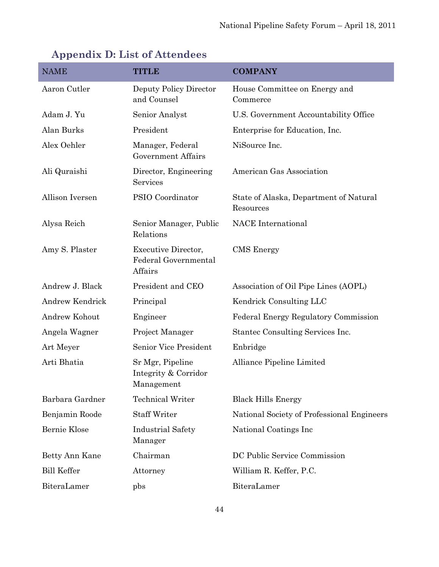| <b>NAME</b>        | TITLE                                                         | <b>COMPANY</b>                                      |
|--------------------|---------------------------------------------------------------|-----------------------------------------------------|
| Aaron Cutler       | Deputy Policy Director<br>and Counsel                         | House Committee on Energy and<br>Commerce           |
| Adam J. Yu         | Senior Analyst                                                | U.S. Government Accountability Office               |
| Alan Burks         | President                                                     | Enterprise for Education, Inc.                      |
| Alex Oehler        | Manager, Federal<br>Government Affairs                        | NiSource Inc.                                       |
| Ali Quraishi       | Director, Engineering<br>Services                             | American Gas Association                            |
| Allison Iversen    | PSIO Coordinator                                              | State of Alaska, Department of Natural<br>Resources |
| Alysa Reich        | Senior Manager, Public<br>Relations                           | <b>NACE</b> International                           |
| Amy S. Plaster     | <b>Executive Director,</b><br>Federal Governmental<br>Affairs | CMS Energy                                          |
| Andrew J. Black    | President and CEO                                             | Association of Oil Pipe Lines (AOPL)                |
| Andrew Kendrick    | Principal                                                     | Kendrick Consulting LLC                             |
| Andrew Kohout      | Engineer                                                      | Federal Energy Regulatory Commission                |
| Angela Wagner      | Project Manager                                               | Stantec Consulting Services Inc.                    |
| Art Meyer          | <b>Senior Vice President</b>                                  | Enbridge                                            |
| Arti Bhatia        | Sr Mgr, Pipeline<br>Integrity & Corridor<br>Management        | Alliance Pipeline Limited                           |
| Barbara Gardner    | <b>Technical Writer</b>                                       | <b>Black Hills Energy</b>                           |
| Benjamin Roode     | <b>Staff Writer</b>                                           | National Society of Professional Engineers          |
| Bernie Klose       | <b>Industrial Safety</b><br>Manager                           | National Coatings Inc.                              |
| Betty Ann Kane     | Chairman                                                      | DC Public Service Commission                        |
| <b>Bill Keffer</b> | Attorney                                                      | William R. Keffer, P.C.                             |
| BiteraLamer        | pbs                                                           | BiteraLamer                                         |

# <span id="page-47-0"></span>**Appendix D: List of Attendees**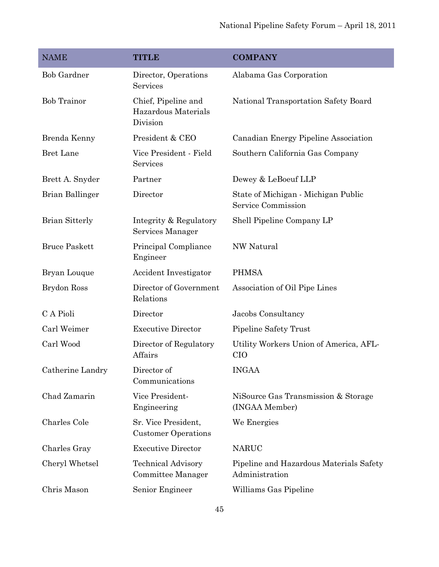| <b>NAME</b>           | <b>TITLE</b>                                           | <b>COMPANY</b>                                            |
|-----------------------|--------------------------------------------------------|-----------------------------------------------------------|
| <b>Bob Gardner</b>    | Director, Operations<br>Services                       | Alabama Gas Corporation                                   |
| <b>Bob Trainor</b>    | Chief, Pipeline and<br>Hazardous Materials<br>Division | National Transportation Safety Board                      |
| Brenda Kenny          | President & CEO                                        | Canadian Energy Pipeline Association                      |
| <b>Bret Lane</b>      | Vice President - Field<br>Services                     | Southern California Gas Company                           |
| Brett A. Snyder       | Partner                                                | Dewey & LeBoeuf LLP                                       |
| Brian Ballinger       | Director                                               | State of Michigan - Michigan Public<br>Service Commission |
| <b>Brian Sitterly</b> | Integrity & Regulatory<br>Services Manager             | Shell Pipeline Company LP                                 |
| <b>Bruce Paskett</b>  | Principal Compliance<br>Engineer                       | <b>NW Natural</b>                                         |
| Bryan Louque          | Accident Investigator                                  | <b>PHMSA</b>                                              |
| Brydon Ross           | Director of Government<br>Relations                    | Association of Oil Pipe Lines                             |
| C A Pioli             | Director                                               | Jacobs Consultancy                                        |
| Carl Weimer           | <b>Executive Director</b>                              | Pipeline Safety Trust                                     |
| Carl Wood             | Director of Regulatory<br>Affairs                      | Utility Workers Union of America, AFL-<br><b>CIO</b>      |
| Catherine Landry      | Director of<br>Communications                          | <b>INGAA</b>                                              |
| Chad Zamarin          | Vice President-<br>Engineering                         | NiSource Gas Transmission & Storage<br>(INGAA Member)     |
| Charles Cole          | Sr. Vice President,<br><b>Customer Operations</b>      | We Energies                                               |
| Charles Gray          | <b>Executive Director</b>                              | <b>NARUC</b>                                              |
| Cheryl Whetsel        | <b>Technical Advisory</b><br>Committee Manager         | Pipeline and Hazardous Materials Safety<br>Administration |
| Chris Mason           | Senior Engineer                                        | Williams Gas Pipeline                                     |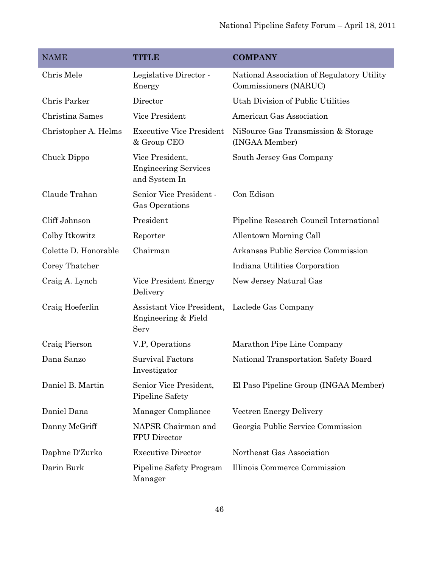| <b>NAME</b>          | <b>TITLE</b>                                                    | <b>COMPANY</b>                                                      |
|----------------------|-----------------------------------------------------------------|---------------------------------------------------------------------|
| Chris Mele           | Legislative Director -<br>Energy                                | National Association of Regulatory Utility<br>Commissioners (NARUC) |
| Chris Parker         | Director                                                        | Utah Division of Public Utilities                                   |
| Christina Sames      | Vice President                                                  | American Gas Association                                            |
| Christopher A. Helms | <b>Executive Vice President</b><br>& Group CEO                  | NiSource Gas Transmission & Storage<br>(INGAA Member)               |
| Chuck Dippo          | Vice President,<br><b>Engineering Services</b><br>and System In | South Jersey Gas Company                                            |
| Claude Trahan        | Senior Vice President -<br>Gas Operations                       | Con Edison                                                          |
| Cliff Johnson        | President                                                       | Pipeline Research Council International                             |
| Colby Itkowitz       | Reporter                                                        | <b>Allentown Morning Call</b>                                       |
| Colette D. Honorable | Chairman                                                        | Arkansas Public Service Commission                                  |
| Corey Thatcher       |                                                                 | Indiana Utilities Corporation                                       |
| Craig A. Lynch       | Vice President Energy<br>Delivery                               | New Jersey Natural Gas                                              |
| Craig Hoeferlin      | Assistant Vice President,<br>Engineering & Field<br>Serv        | Laclede Gas Company                                                 |
| Craig Pierson        | V.P, Operations                                                 | Marathon Pipe Line Company                                          |
| Dana Sanzo           | <b>Survival Factors</b><br>Investigator                         | National Transportation Safety Board                                |
| Daniel B. Martin     | Senior Vice President,<br>Pipeline Safety                       | El Paso Pipeline Group (INGAA Member)                               |
| Daniel Dana          | Manager Compliance                                              | Vectren Energy Delivery                                             |
| Danny McGriff        | NAPSR Chairman and<br>FPU Director                              | Georgia Public Service Commission                                   |
| Daphne D'Zurko       | <b>Executive Director</b>                                       | Northeast Gas Association                                           |
| Darin Burk           | Pipeline Safety Program<br>Manager                              | Illinois Commerce Commission                                        |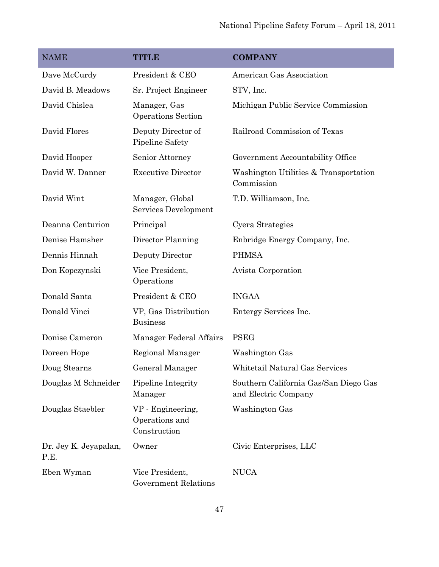| <b>NAME</b>                   | <b>TITLE</b>                                        | <b>COMPANY</b>                                                |
|-------------------------------|-----------------------------------------------------|---------------------------------------------------------------|
| Dave McCurdy                  | President & CEO                                     | American Gas Association                                      |
| David B. Meadows              | Sr. Project Engineer                                | STV, Inc.                                                     |
| David Chislea                 | Manager, Gas<br>Operations Section                  | Michigan Public Service Commission                            |
| David Flores                  | Deputy Director of<br>Pipeline Safety               | Railroad Commission of Texas                                  |
| David Hooper                  | Senior Attorney                                     | Government Accountability Office                              |
| David W. Danner               | <b>Executive Director</b>                           | Washington Utilities & Transportation<br>Commission           |
| David Wint                    | Manager, Global<br>Services Development             | T.D. Williamson, Inc.                                         |
| Deanna Centurion              | Principal                                           | Cyera Strategies                                              |
| Denise Hamsher                | Director Planning                                   | Enbridge Energy Company, Inc.                                 |
| Dennis Hinnah                 | Deputy Director                                     | <b>PHMSA</b>                                                  |
| Don Kopczynski                | Vice President,<br>Operations                       | Avista Corporation                                            |
| Donald Santa                  | President & CEO                                     | <b>INGAA</b>                                                  |
| Donald Vinci                  | VP, Gas Distribution<br><b>Business</b>             | Entergy Services Inc.                                         |
| Donise Cameron                | Manager Federal Affairs                             | <b>PSEG</b>                                                   |
| Doreen Hope                   | Regional Manager                                    | Washington Gas                                                |
| Doug Stearns                  | General Manager                                     | Whitetail Natural Gas Services                                |
| Douglas M Schneider           | Pipeline Integrity<br>Manager                       | Southern California Gas/San Diego Gas<br>and Electric Company |
| Douglas Staebler              | VP - Engineering,<br>Operations and<br>Construction | <b>Washington Gas</b>                                         |
| Dr. Jey K. Jeyapalan,<br>P.E. | Owner                                               | Civic Enterprises, LLC                                        |
| Eben Wyman                    | Vice President,<br><b>Government Relations</b>      | <b>NUCA</b>                                                   |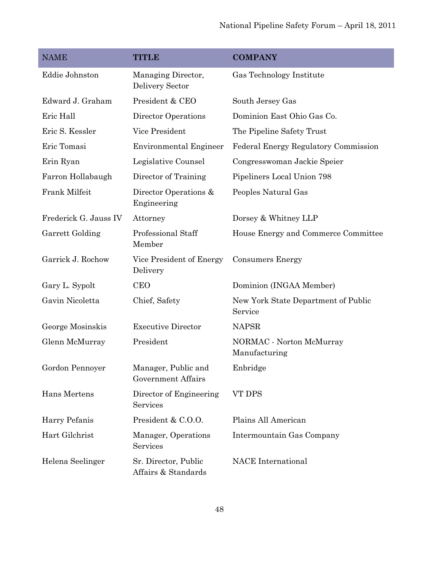| <b>NAME</b>           | <b>TITLE</b>                                     | <b>COMPANY</b>                                 |
|-----------------------|--------------------------------------------------|------------------------------------------------|
| Eddie Johnston        | Managing Director,<br>Delivery Sector            | Gas Technology Institute                       |
| Edward J. Graham      | President & CEO                                  | South Jersey Gas                               |
| Eric Hall             | Director Operations                              | Dominion East Ohio Gas Co.                     |
| Eric S. Kessler       | Vice President                                   | The Pipeline Safety Trust                      |
| Eric Tomasi           | <b>Environmental Engineer</b>                    | Federal Energy Regulatory Commission           |
| Erin Ryan             | Legislative Counsel                              | Congresswoman Jackie Speier                    |
| Farron Hollabaugh     | Director of Training                             | Pipeliners Local Union 798                     |
| Frank Milfeit         | Director Operations &<br>Engineering             | Peoples Natural Gas                            |
| Frederick G. Jauss IV | Attorney                                         | Dorsey & Whitney LLP                           |
| Garrett Golding       | Professional Staff<br>Member                     | House Energy and Commerce Committee            |
| Garrick J. Rochow     | Vice President of Energy<br>Delivery             | <b>Consumers Energy</b>                        |
| Gary L. Sypolt        | <b>CEO</b>                                       | Dominion (INGAA Member)                        |
| Gavin Nicoletta       | Chief, Safety                                    | New York State Department of Public<br>Service |
| George Mosinskis      | <b>Executive Director</b>                        | <b>NAPSR</b>                                   |
| Glenn McMurray        | President                                        | NORMAC - Norton McMurray<br>Manufacturing      |
| Gordon Pennoyer       | Manager, Public and<br><b>Government Affairs</b> | Enbridge                                       |
| Hans Mertens          | Director of Engineering<br>Services              | VT DPS                                         |
| Harry Pefanis         | President & C.O.O.                               | Plains All American                            |
| Hart Gilchrist        | Manager, Operations<br>Services                  | Intermountain Gas Company                      |
| Helena Seelinger      | Sr. Director, Public<br>Affairs & Standards      | <b>NACE</b> International                      |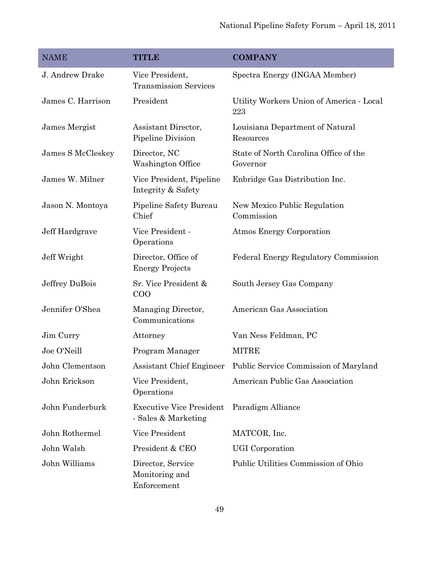| <b>NAME</b>       | <b>TITLE</b>                                           | <b>COMPANY</b>                                    |
|-------------------|--------------------------------------------------------|---------------------------------------------------|
| J. Andrew Drake   | Vice President,<br><b>Transmission Services</b>        | Spectra Energy (INGAA Member)                     |
| James C. Harrison | President                                              | Utility Workers Union of America - Local<br>223   |
| James Mergist     | Assistant Director,<br>Pipeline Division               | Louisiana Department of Natural<br>Resources      |
| James S McCleskey | Director, NC<br>Washington Office                      | State of North Carolina Office of the<br>Governor |
| James W. Milner   | Vice President, Pipeline<br>Integrity & Safety         | Enbridge Gas Distribution Inc.                    |
| Jason N. Montoya  | Pipeline Safety Bureau<br>Chief                        | New Mexico Public Regulation<br>Commission        |
| Jeff Hardgrave    | Vice President -<br>Operations                         | Atmos Energy Corporation                          |
| Jeff Wright       | Director, Office of<br><b>Energy Projects</b>          | Federal Energy Regulatory Commission              |
| Jeffrey DuBois    | Sr. Vice President &<br>COO                            | South Jersey Gas Company                          |
| Jennifer O'Shea   | Managing Director,<br>Communications                   | American Gas Association                          |
| Jim Curry         | Attorney                                               | Van Ness Feldman, PC                              |
| Joe O'Neill       | Program Manager                                        | <b>MITRE</b>                                      |
| John Clementson   | Assistant Chief Engineer                               | Public Service Commission of Maryland             |
| John Erickson     | Vice President,<br>Operations                          | American Public Gas Association                   |
| John Funderburk   | <b>Executive Vice President</b><br>- Sales & Marketing | Paradigm Alliance                                 |
| John Rothermel    | Vice President                                         | MATCOR, Inc.                                      |
| John Walsh        | President & CEO                                        | <b>UGI</b> Corporation                            |
| John Williams     | Director, Service<br>Monitoring and<br>Enforcement     | Public Utilities Commission of Ohio               |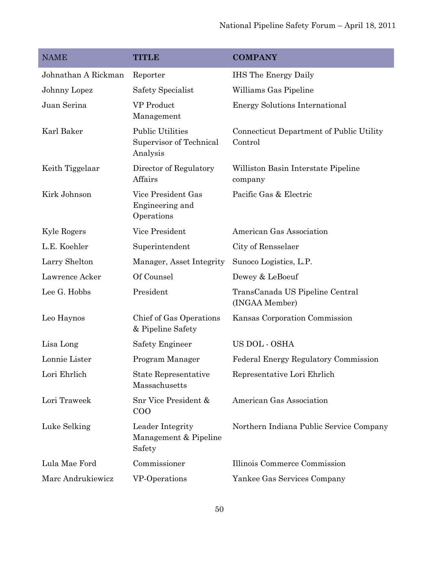| <b>NAME</b>         | <b>TITLE</b>                                                   | <b>COMPANY</b>                                      |
|---------------------|----------------------------------------------------------------|-----------------------------------------------------|
| Johnathan A Rickman | Reporter                                                       | <b>IHS</b> The Energy Daily                         |
| Johnny Lopez        | Safety Specialist                                              | Williams Gas Pipeline                               |
| Juan Serina         | <b>VP</b> Product<br>Management                                | <b>Energy Solutions International</b>               |
| Karl Baker          | <b>Public Utilities</b><br>Supervisor of Technical<br>Analysis | Connecticut Department of Public Utility<br>Control |
| Keith Tiggelaar     | Director of Regulatory<br>Affairs                              | Williston Basin Interstate Pipeline<br>company      |
| Kirk Johnson        | Vice President Gas<br>Engineering and<br>Operations            | Pacific Gas & Electric                              |
| Kyle Rogers         | Vice President                                                 | American Gas Association                            |
| L.E. Koehler        | Superintendent                                                 | City of Rensselaer                                  |
| Larry Shelton       | Manager, Asset Integrity                                       | Sunoco Logistics, L.P.                              |
| Lawrence Acker      | Of Counsel                                                     | Dewey & LeBoeuf                                     |
| Lee G. Hobbs        | President                                                      | TransCanada US Pipeline Central<br>(INGAA Member)   |
| Leo Haynos          | Chief of Gas Operations<br>& Pipeline Safety                   | Kansas Corporation Commission                       |
| Lisa Long           | Safety Engineer                                                | US DOL - OSHA                                       |
| Lonnie Lister       | Program Manager                                                | Federal Energy Regulatory Commission                |
| Lori Ehrlich        | <b>State Representative</b><br>Massachusetts                   | Representative Lori Ehrlich                         |
| Lori Traweek        | Snr Vice President &<br>COO                                    | American Gas Association                            |
| Luke Selking        | Leader Integrity<br>Management & Pipeline<br>Safety            | Northern Indiana Public Service Company             |
| Lula Mae Ford       | Commissioner                                                   | Illinois Commerce Commission                        |
| Marc Andrukiewicz   | VP-Operations                                                  | Yankee Gas Services Company                         |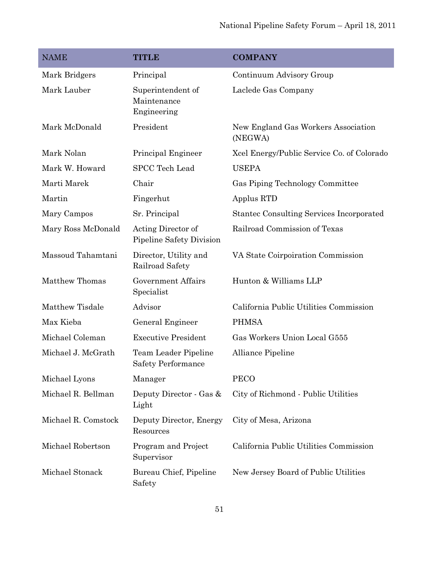| <b>NAME</b>           | <b>TITLE</b>                                      | <b>COMPANY</b>                                  |
|-----------------------|---------------------------------------------------|-------------------------------------------------|
| Mark Bridgers         | Principal                                         | Continuum Advisory Group                        |
| Mark Lauber           | Superintendent of<br>Maintenance<br>Engineering   | Laclede Gas Company                             |
| Mark McDonald         | President                                         | New England Gas Workers Association<br>(NEGWA)  |
| Mark Nolan            | Principal Engineer                                | Xcel Energy/Public Service Co. of Colorado      |
| Mark W. Howard        | <b>SPCC Tech Lead</b>                             | <b>USEPA</b>                                    |
| Marti Marek           | Chair                                             | Gas Piping Technology Committee                 |
| Martin                | Fingerhut                                         | Applus RTD                                      |
| Mary Campos           | Sr. Principal                                     | <b>Stantec Consulting Services Incorporated</b> |
| Mary Ross McDonald    | Acting Director of<br>Pipeline Safety Division    | Railroad Commission of Texas                    |
| Massoud Tahamtani     | Director, Utility and<br>Railroad Safety          | VA State Coirpoiration Commission               |
| <b>Matthew Thomas</b> | <b>Government Affairs</b><br>Specialist           | Hunton & Williams LLP                           |
| Matthew Tisdale       | Advisor                                           | California Public Utilities Commission          |
| Max Kieba             | General Engineer                                  | <b>PHMSA</b>                                    |
| Michael Coleman       | <b>Executive President</b>                        | Gas Workers Union Local G555                    |
| Michael J. McGrath    | Team Leader Pipeline<br><b>Safety Performance</b> | Alliance Pipeline                               |
| Michael Lyons         | Manager                                           | <b>PECO</b>                                     |
| Michael R. Bellman    | Deputy Director - Gas &<br>Light                  | City of Richmond - Public Utilities             |
| Michael R. Comstock   | Deputy Director, Energy<br>Resources              | City of Mesa, Arizona                           |
| Michael Robertson     | Program and Project<br>Supervisor                 | California Public Utilities Commission          |
| Michael Stonack       | Bureau Chief, Pipeline<br>Safety                  | New Jersey Board of Public Utilities            |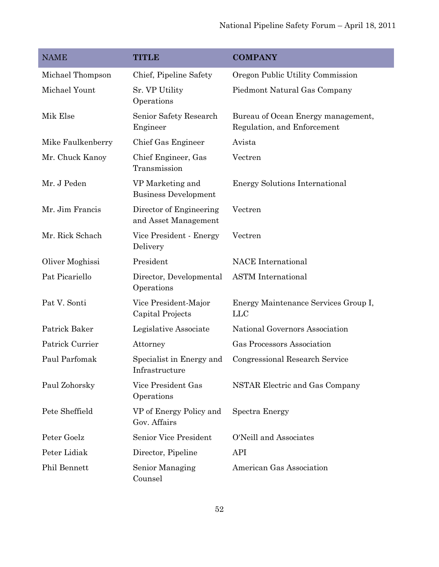| <b>NAME</b>       | <b>TITLE</b>                                    | <b>COMPANY</b>                                                    |
|-------------------|-------------------------------------------------|-------------------------------------------------------------------|
| Michael Thompson  | Chief, Pipeline Safety                          | Oregon Public Utility Commission                                  |
| Michael Yount     | Sr. VP Utility<br>Operations                    | Piedmont Natural Gas Company                                      |
| Mik Else          | Senior Safety Research<br>Engineer              | Bureau of Ocean Energy management,<br>Regulation, and Enforcement |
| Mike Faulkenberry | Chief Gas Engineer                              | Avista                                                            |
| Mr. Chuck Kanoy   | Chief Engineer, Gas<br>Transmission             | Vectren                                                           |
| Mr. J Peden       | VP Marketing and<br><b>Business Development</b> | <b>Energy Solutions International</b>                             |
| Mr. Jim Francis   | Director of Engineering<br>and Asset Management | Vectren                                                           |
| Mr. Rick Schach   | Vice President - Energy<br>Delivery             | Vectren                                                           |
| Oliver Moghissi   | President                                       | <b>NACE</b> International                                         |
| Pat Picariello    | Director, Developmental<br>Operations           | <b>ASTM</b> International                                         |
| Pat V. Sonti      | Vice President-Major<br>Capital Projects        | Energy Maintenance Services Group I,<br><b>LLC</b>                |
| Patrick Baker     | Legislative Associate                           | National Governors Association                                    |
| Patrick Currier   | Attorney                                        | Gas Processors Association                                        |
| Paul Parfomak     | Specialist in Energy and<br>Infrastructure      | Congressional Research Service                                    |
| Paul Zohorsky     | Vice President Gas<br>Operations                | NSTAR Electric and Gas Company                                    |
| Pete Sheffield    | VP of Energy Policy and<br>Gov. Affairs         | <b>Spectra Energy</b>                                             |
| Peter Goelz       | <b>Senior Vice President</b>                    | O'Neill and Associates                                            |
| Peter Lidiak      | Director, Pipeline                              | <b>API</b>                                                        |
| Phil Bennett      | Senior Managing<br>Counsel                      | American Gas Association                                          |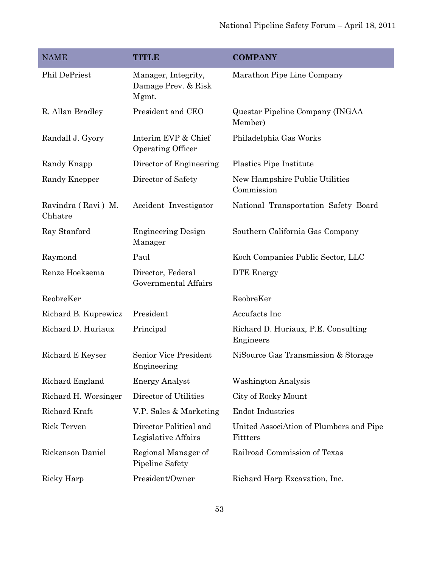| <b>NAME</b>                   | <b>TITLE</b>                                        | <b>COMPANY</b>                                      |
|-------------------------------|-----------------------------------------------------|-----------------------------------------------------|
| Phil DePriest                 | Manager, Integrity,<br>Damage Prev. & Risk<br>Mgmt. | Marathon Pipe Line Company                          |
| R. Allan Bradley              | President and CEO                                   | Questar Pipeline Company (INGAA<br>Member)          |
| Randall J. Gyory              | Interim EVP & Chief<br>Operating Officer            | Philadelphia Gas Works                              |
| Randy Knapp                   | Director of Engineering                             | Plastics Pipe Institute                             |
| Randy Knepper                 | Director of Safety                                  | New Hampshire Public Utilities<br>Commission        |
| Ravindra (Ravi) M.<br>Chhatre | Accident Investigator                               | National Transportation Safety Board                |
| Ray Stanford                  | <b>Engineering Design</b><br>Manager                | Southern California Gas Company                     |
| Raymond                       | Paul                                                | Koch Companies Public Sector, LLC                   |
| Renze Hoeksema                | Director, Federal<br>Governmental Affairs           | <b>DTE</b> Energy                                   |
| ReobreKer                     |                                                     | ReobreKer                                           |
| Richard B. Kuprewicz          | President                                           | Accufacts Inc                                       |
| Richard D. Huriaux            | Principal                                           | Richard D. Huriaux, P.E. Consulting<br>Engineers    |
| Richard E Keyser              | Senior Vice President<br>Engineering                | NiSource Gas Transmission & Storage                 |
| Richard England               | <b>Energy Analyst</b>                               | <b>Washington Analysis</b>                          |
| Richard H. Worsinger          | Director of Utilities                               | City of Rocky Mount                                 |
| Richard Kraft                 | V.P. Sales & Marketing                              | <b>Endot Industries</b>                             |
| Rick Terven                   | Director Political and<br>Legislative Affairs       | United AssociAtion of Plumbers and Pipe<br>Fittters |
| Rickenson Daniel              | Regional Manager of<br>Pipeline Safety              | Railroad Commission of Texas                        |
| Ricky Harp                    | President/Owner                                     | Richard Harp Excavation, Inc.                       |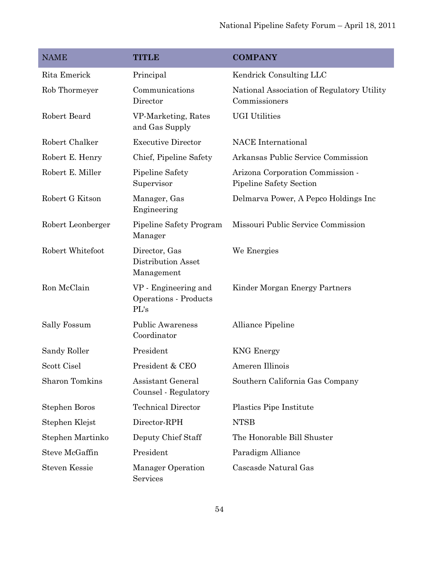| <b>NAME</b>           | <b>TITLE</b>                                          | <b>COMPANY</b>                                              |
|-----------------------|-------------------------------------------------------|-------------------------------------------------------------|
| Rita Emerick          | Principal                                             | Kendrick Consulting LLC                                     |
| Rob Thormeyer         | Communications<br>Director                            | National Association of Regulatory Utility<br>Commissioners |
| Robert Beard          | VP-Marketing, Rates<br>and Gas Supply                 | <b>UGI Utilities</b>                                        |
| Robert Chalker        | <b>Executive Director</b>                             | <b>NACE</b> International                                   |
| Robert E. Henry       | Chief, Pipeline Safety                                | Arkansas Public Service Commission                          |
| Robert E. Miller      | Pipeline Safety<br>Supervisor                         | Arizona Corporation Commission -<br>Pipeline Safety Section |
| Robert G Kitson       | Manager, Gas<br>Engineering                           | Delmarva Power, A Pepco Holdings Inc                        |
| Robert Leonberger     | Pipeline Safety Program<br>Manager                    | Missouri Public Service Commission                          |
| Robert Whitefoot      | Director, Gas<br>Distribution Asset<br>Management     | We Energies                                                 |
| Ron McClain           | VP - Engineering and<br>Operations - Products<br>PL's | Kinder Morgan Energy Partners                               |
| Sally Fossum          | <b>Public Awareness</b><br>Coordinator                | Alliance Pipeline                                           |
| Sandy Roller          | President                                             | <b>KNG</b> Energy                                           |
| Scott Cisel           | President & CEO                                       | Ameren Illinois                                             |
| <b>Sharon Tomkins</b> | Assistant General<br>Counsel - Regulatory             | Southern California Gas Company                             |
| Stephen Boros         | <b>Technical Director</b>                             | Plastics Pipe Institute                                     |
| Stephen Klejst        | Director-RPH                                          | <b>NTSB</b>                                                 |
| Stephen Martinko      | Deputy Chief Staff                                    | The Honorable Bill Shuster                                  |
| Steve McGaffin        | President                                             | Paradigm Alliance                                           |
| <b>Steven Kessie</b>  | Manager Operation<br>Services                         | Cascasde Natural Gas                                        |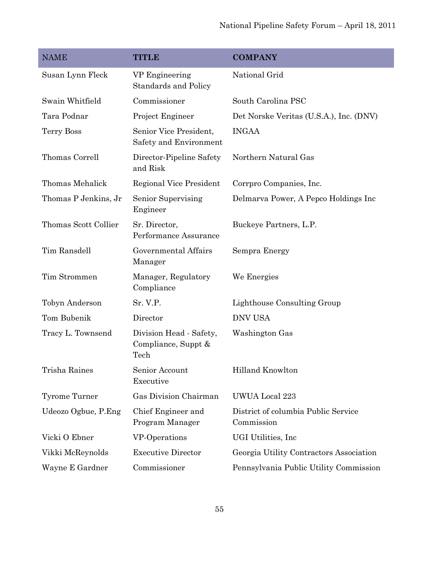| <b>NAME</b>          | <b>TITLE</b>                                           | <b>COMPANY</b>                                    |
|----------------------|--------------------------------------------------------|---------------------------------------------------|
| Susan Lynn Fleck     | VP Engineering<br><b>Standards and Policy</b>          | National Grid                                     |
| Swain Whitfield      | Commissioner                                           | South Carolina PSC                                |
| Tara Podnar          | Project Engineer                                       | Det Norske Veritas (U.S.A.), Inc. (DNV)           |
| Terry Boss           | Senior Vice President,<br>Safety and Environment       | <b>INGAA</b>                                      |
| Thomas Correll       | Director-Pipeline Safety<br>and Risk                   | Northern Natural Gas                              |
| Thomas Mehalick      | Regional Vice President                                | Corrpro Companies, Inc.                           |
| Thomas P Jenkins, Jr | Senior Supervising<br>Engineer                         | Delmarva Power, A Pepco Holdings Inc              |
| Thomas Scott Collier | Sr. Director,<br>Performance Assurance                 | Buckeye Partners, L.P.                            |
| Tim Ransdell         | Governmental Affairs<br>Manager                        | Sempra Energy                                     |
| Tim Strommen         | Manager, Regulatory<br>Compliance                      | We Energies                                       |
| Tobyn Anderson       | Sr. V.P.                                               | Lighthouse Consulting Group                       |
| Tom Bubenik          | Director                                               | <b>DNV USA</b>                                    |
| Tracy L. Townsend    | Division Head - Safety,<br>Compliance, Suppt &<br>Tech | Washington Gas                                    |
| Trisha Raines        | Senior Account<br>Executive                            | Hilland Knowlton                                  |
| Tyrome Turner        | Gas Division Chairman                                  | UWUA Local 223                                    |
| Udeozo Ogbue, P.Eng  | Chief Engineer and<br>Program Manager                  | District of columbia Public Service<br>Commission |
| Vicki O Ebner        | VP-Operations                                          | UGI Utilities, Inc.                               |
| Vikki McReynolds     | <b>Executive Director</b>                              | Georgia Utility Contractors Association           |
| Wayne E Gardner      | Commissioner                                           | Pennsylvania Public Utility Commission            |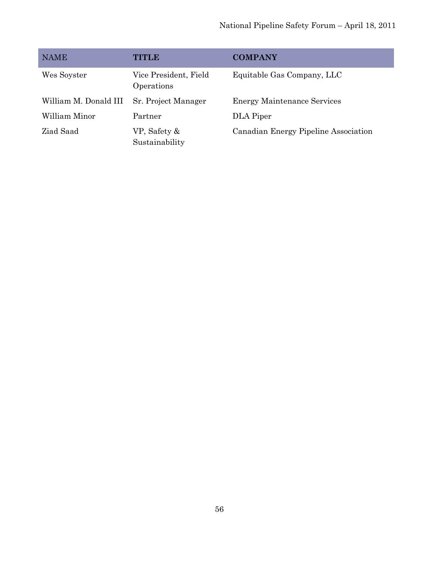| <b>NAME</b>           | TITLE                               | <b>COMPANY</b>                       |
|-----------------------|-------------------------------------|--------------------------------------|
| Wes Soyster           | Vice President, Field<br>Operations | Equitable Gas Company, LLC           |
| William M. Donald III | Sr. Project Manager                 | <b>Energy Maintenance Services</b>   |
| William Minor         | Partner                             | DLA Piper                            |
| Ziad Saad             | VP, Safety &<br>Sustainability      | Canadian Energy Pipeline Association |